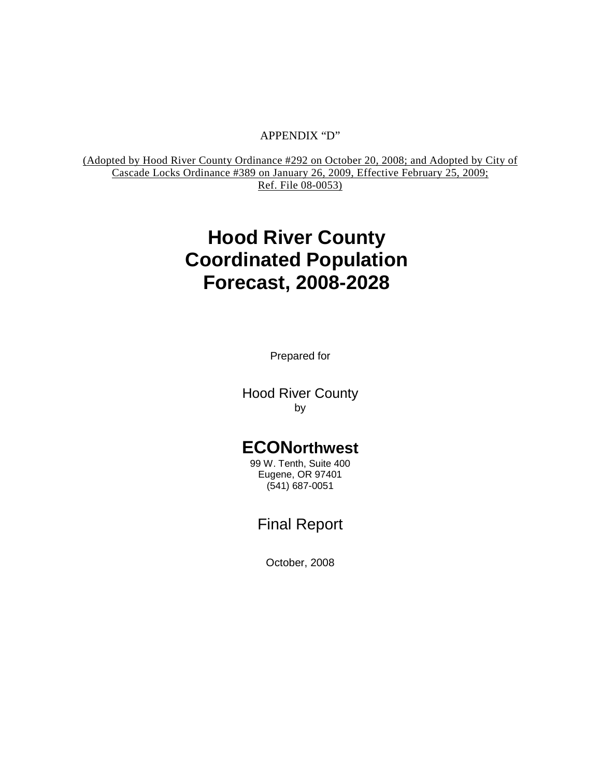#### APPENDIX "D"

(Adopted by Hood River County Ordinance #292 on October 20, 2008; and Adopted by City of Cascade Locks Ordinance #389 on January 26, 2009, Effective February 25, 2009; Ref. File 08-0053)

# **Hood River County Coordinated Population Forecast, 2008-2028**

Prepared for

Hood River County by

# **ECONorthwest**

99 W. Tenth, Suite 400 Eugene, OR 97401 (541) 687-0051

# Final Report

October, 2008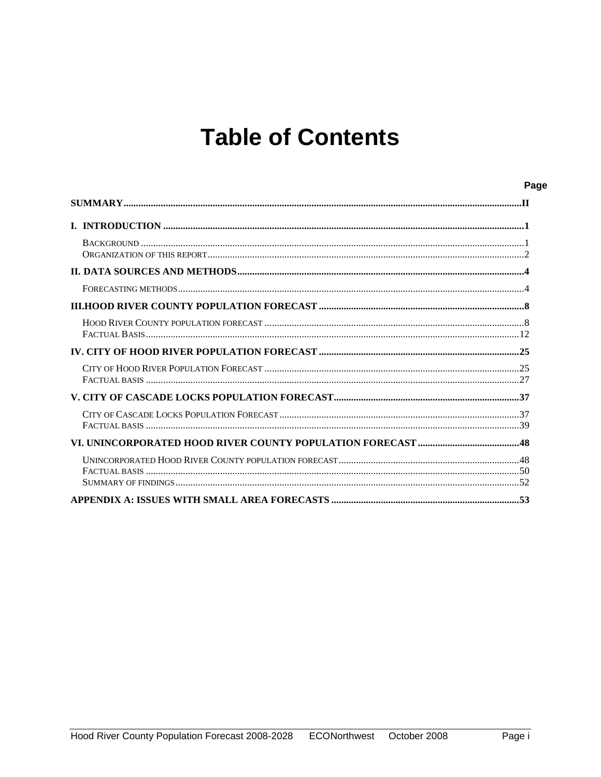# **Table of Contents**

| Page |
|------|
|      |
|      |
|      |
|      |
|      |
|      |
|      |
|      |
|      |
|      |
|      |
|      |
|      |
|      |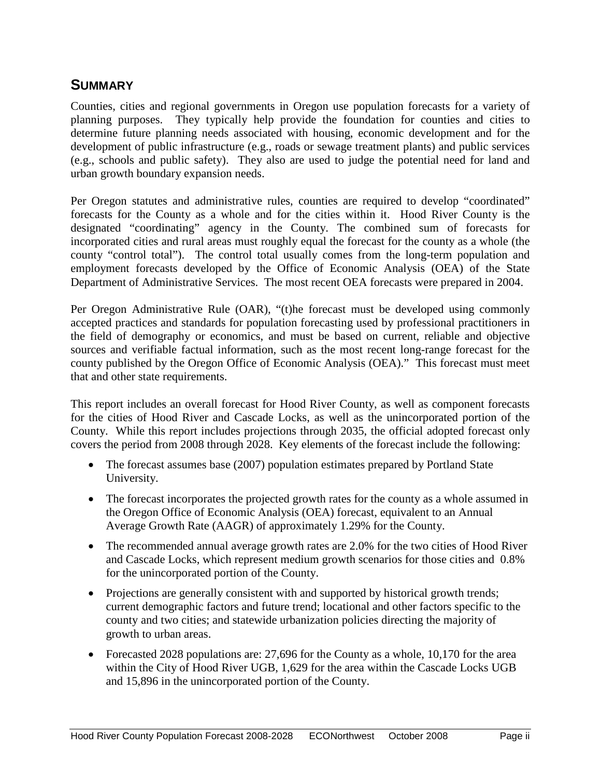# <span id="page-2-0"></span>**SUMMARY**

Counties, cities and regional governments in Oregon use population forecasts for a variety of planning purposes. They typically help provide the foundation for counties and cities to determine future planning needs associated with housing, economic development and for the development of public infrastructure (e.g., roads or sewage treatment plants) and public services (e.g., schools and public safety). They also are used to judge the potential need for land and urban growth boundary expansion needs.

Per Oregon statutes and administrative rules, counties are required to develop "coordinated" forecasts for the County as a whole and for the cities within it. Hood River County is the designated "coordinating" agency in the County. The combined sum of forecasts for incorporated cities and rural areas must roughly equal the forecast for the county as a whole (the county "control total"). The control total usually comes from the long-term population and employment forecasts developed by the Office of Economic Analysis (OEA) of the State Department of Administrative Services. The most recent OEA forecasts were prepared in 2004.

Per Oregon Administrative Rule (OAR), "(t)he forecast must be developed using commonly accepted practices and standards for population forecasting used by professional practitioners in the field of demography or economics, and must be based on current, reliable and objective sources and verifiable factual information, such as the most recent long-range forecast for the county published by the Oregon Office of Economic Analysis (OEA)." This forecast must meet that and other state requirements.

This report includes an overall forecast for Hood River County, as well as component forecasts for the cities of Hood River and Cascade Locks, as well as the unincorporated portion of the County. While this report includes projections through 2035, the official adopted forecast only covers the period from 2008 through 2028. Key elements of the forecast include the following:

- The forecast assumes base (2007) population estimates prepared by Portland State University.
- The forecast incorporates the projected growth rates for the county as a whole assumed in the Oregon Office of Economic Analysis (OEA) forecast, equivalent to an Annual Average Growth Rate (AAGR) of approximately 1.29% for the County.
- The recommended annual average growth rates are 2.0% for the two cities of Hood River and Cascade Locks, which represent medium growth scenarios for those cities and 0.8% for the unincorporated portion of the County.
- Projections are generally consistent with and supported by historical growth trends; current demographic factors and future trend; locational and other factors specific to the county and two cities; and statewide urbanization policies directing the majority of growth to urban areas.
- Forecasted 2028 populations are: 27,696 for the County as a whole, 10,170 for the area within the City of Hood River UGB, 1,629 for the area within the Cascade Locks UGB and 15,896 in the unincorporated portion of the County.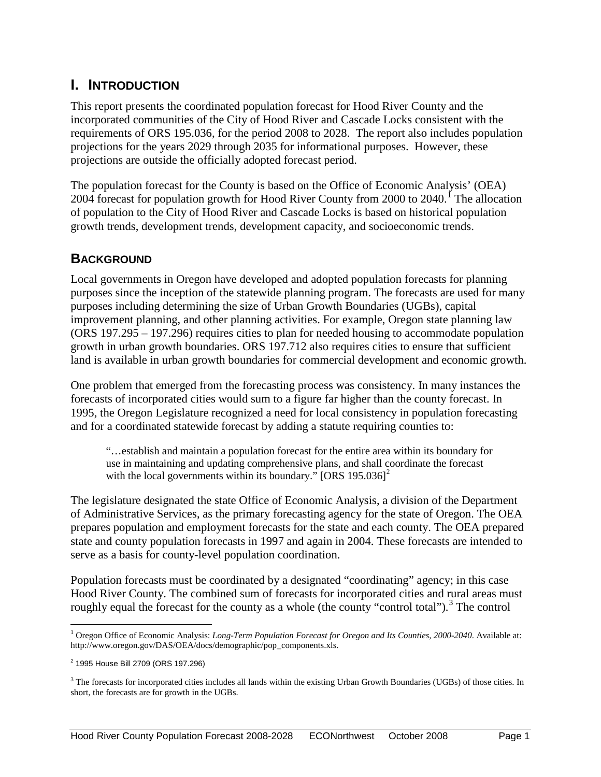# <span id="page-3-0"></span>**I. INTRODUCTION**

This report presents the coordinated population forecast for Hood River County and the incorporated communities of the City of Hood River and Cascade Locks consistent with the requirements of ORS 195.036, for the period 2008 to 2028. The report also includes population projections for the years 2029 through 2035 for informational purposes. However, these projections are outside the officially adopted forecast period.

The population forecast for the County is based on the Office of Economic Analysis' (OEA) 2004 forecast for population growth for Hood River County from 2000 to 2040.<sup>I</sup> The allocation of population to the City of Hood River and Cascade Locks is based on historical population growth trends, development trends, development capacity, and socioeconomic trends.

# <span id="page-3-1"></span>**BACKGROUND**

Local governments in Oregon have developed and adopted population forecasts for planning purposes since the inception of the statewide planning program. The forecasts are used for many purposes including determining the size of Urban Growth Boundaries (UGBs), capital improvement planning, and other planning activities. For example, Oregon state planning law (ORS 197.295 – 197.296) requires cities to plan for needed housing to accommodate population growth in urban growth boundaries. ORS 197.712 also requires cities to ensure that sufficient land is available in urban growth boundaries for commercial development and economic growth.

One problem that emerged from the forecasting process was consistency. In many instances the forecasts of incorporated cities would sum to a figure far higher than the county forecast. In 1995, the Oregon Legislature recognized a need for local consistency in population forecasting and for a coordinated statewide forecast by adding a statute requiring counties to:

"…establish and maintain a population forecast for the entire area within its boundary for use in maintaining and updating comprehensive plans, and shall coordinate the forecast with the local governments within its boundary."  $[ORS\ 195.036]^2$  $[ORS\ 195.036]^2$ 

The legislature designated the state Office of Economic Analysis, a division of the Department of Administrative Services, as the primary forecasting agency for the state of Oregon. The OEA prepares population and employment forecasts for the state and each county. The OEA prepared state and county population forecasts in 1997 and again in 2004. These forecasts are intended to serve as a basis for county-level population coordination.

Population forecasts must be coordinated by a designated "coordinating" agency; in this case Hood River County. The combined sum of forecasts for incorporated cities and rural areas must roughly equal the forecast for the county as a whole (the county "control total").<sup>[3](#page-3-4)</sup> The control

<span id="page-3-2"></span><sup>&</sup>lt;sup>1</sup> Oregon Office of Economic Analysis: *Long-Term Population Forecast for Oregon and Its Counties, 2000-2040*. Available at: http://www.oregon.gov/DAS/OEA/docs/demographic/pop\_components.xls.

<span id="page-3-3"></span><sup>2</sup> 1995 House Bill 2709 (ORS 197.296)

<span id="page-3-4"></span><sup>&</sup>lt;sup>3</sup> The forecasts for incorporated cities includes all lands within the existing Urban Growth Boundaries (UGBs) of those cities. In short, the forecasts are for growth in the UGBs.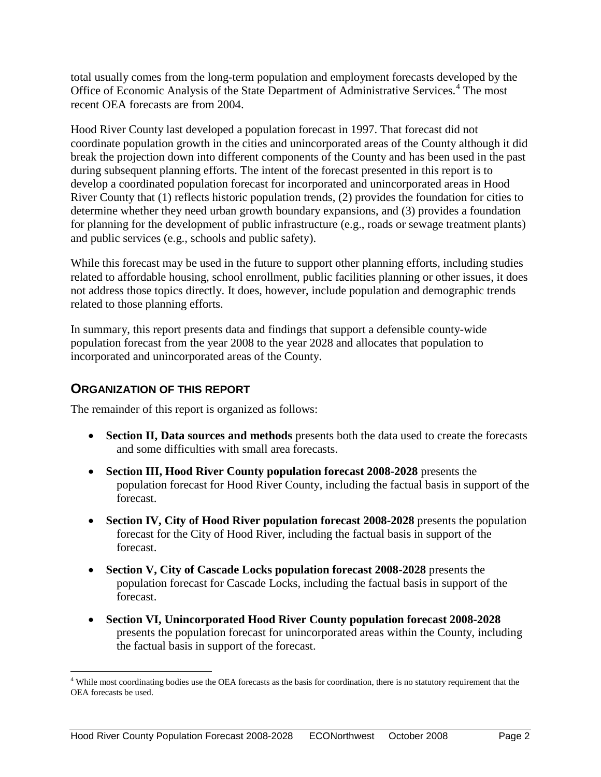total usually comes from the long-term population and employment forecasts developed by the Office of Economic Analysis of the State Department of Administrative Services.<sup>[4](#page-4-1)</sup> The most recent OEA forecasts are from 2004.

Hood River County last developed a population forecast in 1997. That forecast did not coordinate population growth in the cities and unincorporated areas of the County although it did break the projection down into different components of the County and has been used in the past during subsequent planning efforts. The intent of the forecast presented in this report is to develop a coordinated population forecast for incorporated and unincorporated areas in Hood River County that (1) reflects historic population trends, (2) provides the foundation for cities to determine whether they need urban growth boundary expansions, and (3) provides a foundation for planning for the development of public infrastructure (e.g., roads or sewage treatment plants) and public services (e.g., schools and public safety).

While this forecast may be used in the future to support other planning efforts, including studies related to affordable housing, school enrollment, public facilities planning or other issues, it does not address those topics directly. It does, however, include population and demographic trends related to those planning efforts.

In summary, this report presents data and findings that support a defensible county-wide population forecast from the year 2008 to the year 2028 and allocates that population to incorporated and unincorporated areas of the County.

# <span id="page-4-0"></span>**ORGANIZATION OF THIS REPORT**

The remainder of this report is organized as follows:

- **Section II, Data sources and methods** presents both the data used to create the forecasts and some difficulties with small area forecasts.
- **Section III, Hood River County population forecast 2008-2028** presents the population forecast for Hood River County, including the factual basis in support of the forecast.
- **Section IV, City of Hood River population forecast 2008-2028** presents the population forecast for the City of Hood River, including the factual basis in support of the forecast.
- **Section V, City of Cascade Locks population forecast 2008-2028** presents the population forecast for Cascade Locks, including the factual basis in support of the forecast.
- **Section VI, Unincorporated Hood River County population forecast 2008-2028**  presents the population forecast for unincorporated areas within the County, including the factual basis in support of the forecast.

<span id="page-4-1"></span> $4$  While most coordinating bodies use the OEA forecasts as the basis for coordination, there is no statutory requirement that the OEA forecasts be used.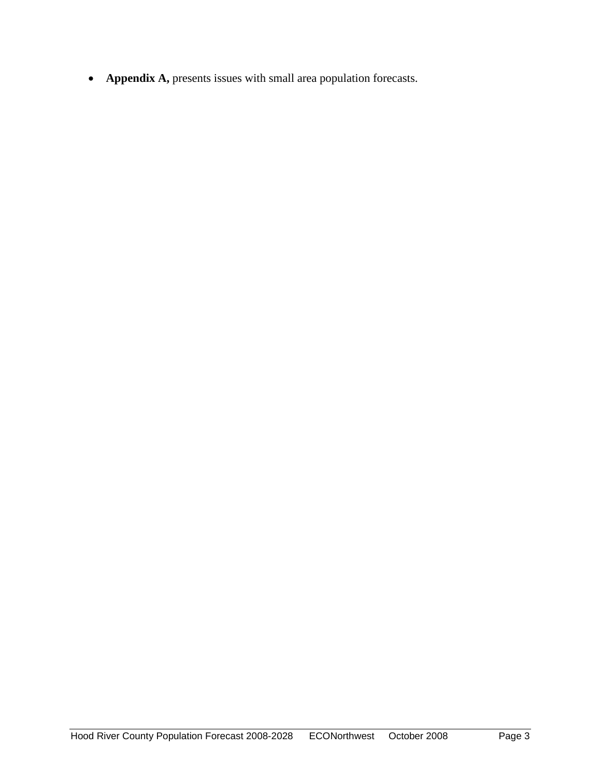• **Appendix A,** presents issues with small area population forecasts.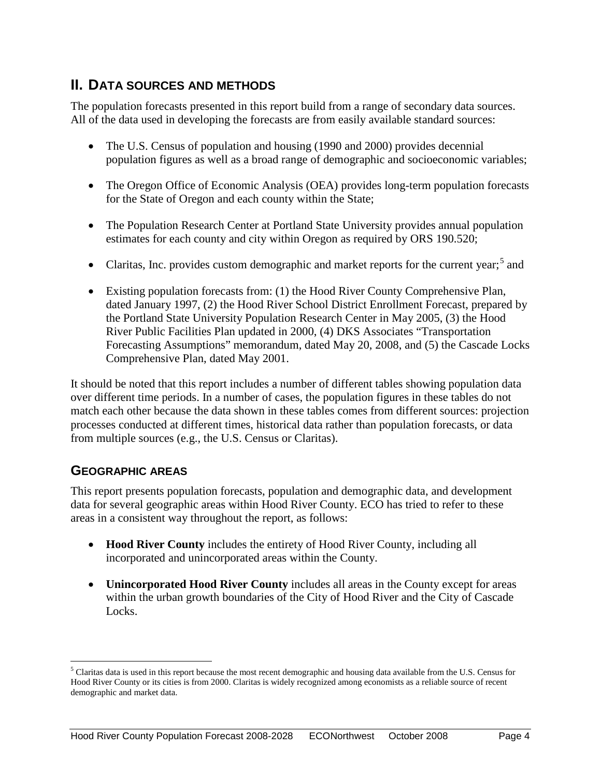# <span id="page-6-0"></span>**II. DATA SOURCES AND METHODS**

The population forecasts presented in this report build from a range of secondary data sources. All of the data used in developing the forecasts are from easily available standard sources:

- The U.S. Census of population and housing (1990 and 2000) provides decennial population figures as well as a broad range of demographic and socioeconomic variables;
- The Oregon Office of Economic Analysis (OEA) provides long-term population forecasts for the State of Oregon and each county within the State;
- The Population Research Center at Portland State University provides annual population estimates for each county and city within Oregon as required by ORS 190.520;
- Claritas, Inc. provides custom demographic and market reports for the current year;<sup>[5](#page-6-2)</sup> and
- Existing population forecasts from: (1) the Hood River County Comprehensive Plan, dated January 1997, (2) the Hood River School District Enrollment Forecast, prepared by the Portland State University Population Research Center in May 2005, (3) the Hood River Public Facilities Plan updated in 2000, (4) DKS Associates "Transportation Forecasting Assumptions" memorandum, dated May 20, 2008, and (5) the Cascade Locks Comprehensive Plan, dated May 2001.

<span id="page-6-1"></span>It should be noted that this report includes a number of different tables showing population data over different time periods. In a number of cases, the population figures in these tables do not match each other because the data shown in these tables comes from different sources: projection processes conducted at different times, historical data rather than population forecasts, or data from multiple sources (e.g., the U.S. Census or Claritas).

# **GEOGRAPHIC AREAS**

This report presents population forecasts, population and demographic data, and development data for several geographic areas within Hood River County. ECO has tried to refer to these areas in a consistent way throughout the report, as follows:

- **Hood River County** includes the entirety of Hood River County, including all incorporated and unincorporated areas within the County.
- **Unincorporated Hood River County** includes all areas in the County except for areas within the urban growth boundaries of the City of Hood River and the City of Cascade Locks.

<span id="page-6-2"></span><sup>&</sup>lt;sup>5</sup> Claritas data is used in this report because the most recent demographic and housing data available from the U.S. Census for Hood River County or its cities is from 2000. Claritas is widely recognized among economists as a reliable source of recent demographic and market data.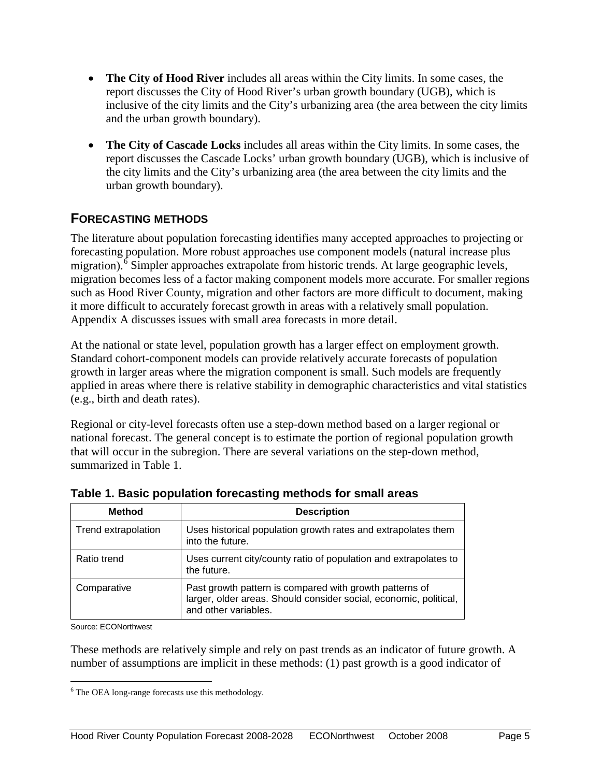- **The City of Hood River** includes all areas within the City limits. In some cases, the report discusses the City of Hood River's urban growth boundary (UGB), which is inclusive of the city limits and the City's urbanizing area (the area between the city limits and the urban growth boundary).
- **The City of Cascade Locks** includes all areas within the City limits. In some cases, the report discusses the Cascade Locks' urban growth boundary (UGB), which is inclusive of the city limits and the City's urbanizing area (the area between the city limits and the urban growth boundary).

# **FORECASTING METHODS**

The literature about population forecasting identifies many accepted approaches to projecting or forecasting population. More robust approaches use component models (natural increase plus migration).<sup>[6](#page-7-0)</sup> Simpler approaches extrapolate from historic trends. At large geographic levels, migration becomes less of a factor making component models more accurate. For smaller regions such as Hood River County, migration and other factors are more difficult to document, making it more difficult to accurately forecast growth in areas with a relatively small population. Appendix A discusses issues with small area forecasts in more detail.

At the national or state level, population growth has a larger effect on employment growth. Standard cohort-component models can provide relatively accurate forecasts of population growth in larger areas where the migration component is small. Such models are frequently applied in areas where there is relative stability in demographic characteristics and vital statistics (e.g., birth and death rates).

Regional or city-level forecasts often use a step-down method based on a larger regional or national forecast. The general concept is to estimate the portion of regional population growth that will occur in the subregion. There are several variations on the step-down method, summarized in Table 1.

| Method              | <b>Description</b>                                                                                                                                   |
|---------------------|------------------------------------------------------------------------------------------------------------------------------------------------------|
| Trend extrapolation | Uses historical population growth rates and extrapolates them<br>into the future.                                                                    |
| Ratio trend         | Uses current city/county ratio of population and extrapolates to<br>the future.                                                                      |
| Comparative         | Past growth pattern is compared with growth patterns of<br>larger, older areas. Should consider social, economic, political,<br>and other variables. |

**Table 1. Basic population forecasting methods for small areas**

Source: ECONorthwest

These methods are relatively simple and rely on past trends as an indicator of future growth. A number of assumptions are implicit in these methods: (1) past growth is a good indicator of

<span id="page-7-0"></span><sup>&</sup>lt;sup>6</sup> The OEA long-range forecasts use this methodology.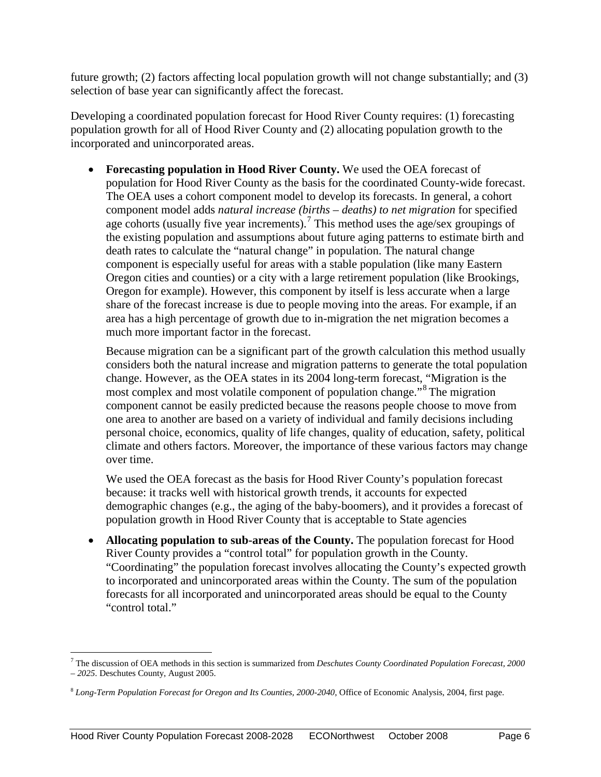future growth; (2) factors affecting local population growth will not change substantially; and (3) selection of base year can significantly affect the forecast.

Developing a coordinated population forecast for Hood River County requires: (1) forecasting population growth for all of Hood River County and (2) allocating population growth to the incorporated and unincorporated areas.

• **Forecasting population in Hood River County.** We used the OEA forecast of population for Hood River County as the basis for the coordinated County-wide forecast. The OEA uses a cohort component model to develop its forecasts. In general, a cohort component model adds *natural increase (births – deaths) to net migration* for specified age cohorts (usually five year increments).<sup>[7](#page-8-0)</sup> This method uses the age/sex groupings of the existing population and assumptions about future aging patterns to estimate birth and death rates to calculate the "natural change" in population. The natural change component is especially useful for areas with a stable population (like many Eastern Oregon cities and counties) or a city with a large retirement population (like Brookings, Oregon for example). However, this component by itself is less accurate when a large share of the forecast increase is due to people moving into the areas. For example, if an area has a high percentage of growth due to in-migration the net migration becomes a much more important factor in the forecast.

Because migration can be a significant part of the growth calculation this method usually considers both the natural increase and migration patterns to generate the total population change. However, as the OEA states in its 2004 long-term forecast, "Migration is the most complex and most volatile component of population change."<sup>[8](#page-8-1)</sup> The migration component cannot be easily predicted because the reasons people choose to move from one area to another are based on a variety of individual and family decisions including personal choice, economics, quality of life changes, quality of education, safety, political climate and others factors. Moreover, the importance of these various factors may change over time.

We used the OEA forecast as the basis for Hood River County's population forecast because: it tracks well with historical growth trends, it accounts for expected demographic changes (e.g., the aging of the baby-boomers), and it provides a forecast of population growth in Hood River County that is acceptable to State agencies

• **Allocating population to sub-areas of the County.** The population forecast for Hood River County provides a "control total" for population growth in the County. "Coordinating" the population forecast involves allocating the County's expected growth to incorporated and unincorporated areas within the County. The sum of the population forecasts for all incorporated and unincorporated areas should be equal to the County "control total."

<span id="page-8-0"></span> <sup>7</sup> The discussion of OEA methods in this section is summarized from *Deschutes County Coordinated Population Forecast, 2000 – 2025*. Deschutes County, August 2005.

<span id="page-8-1"></span><sup>8</sup> *Long-Term Population Forecast for Oregon and Its Counties, 2000-2040*, Office of Economic Analysis, 2004, first page.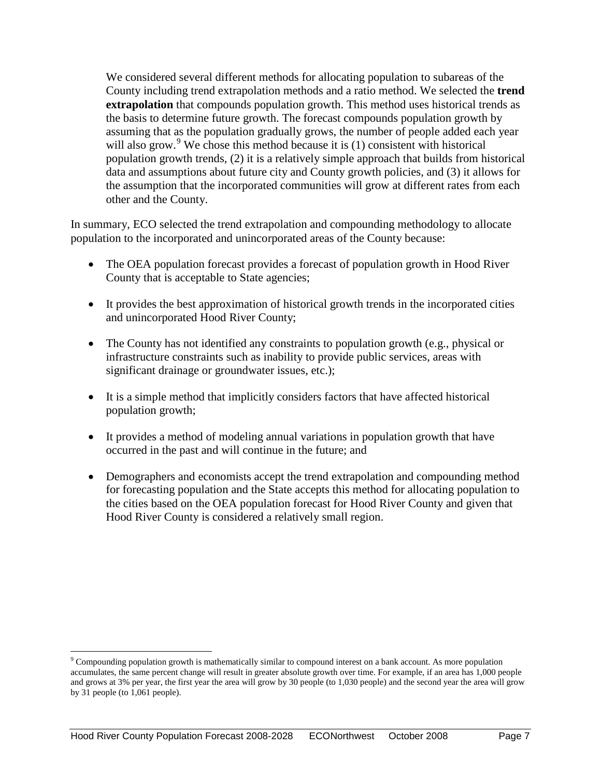We considered several different methods for allocating population to subareas of the County including trend extrapolation methods and a ratio method. We selected the **trend extrapolation** that compounds population growth. This method uses historical trends as the basis to determine future growth. The forecast compounds population growth by assuming that as the population gradually grows, the number of people added each year will also grow.<sup>[9](#page-9-0)</sup> We chose this method because it is  $(1)$  consistent with historical population growth trends, (2) it is a relatively simple approach that builds from historical data and assumptions about future city and County growth policies, and (3) it allows for the assumption that the incorporated communities will grow at different rates from each other and the County.

In summary, ECO selected the trend extrapolation and compounding methodology to allocate population to the incorporated and unincorporated areas of the County because:

- The OEA population forecast provides a forecast of population growth in Hood River County that is acceptable to State agencies;
- It provides the best approximation of historical growth trends in the incorporated cities and unincorporated Hood River County;
- The County has not identified any constraints to population growth (e.g., physical or infrastructure constraints such as inability to provide public services, areas with significant drainage or groundwater issues, etc.);
- It is a simple method that implicitly considers factors that have affected historical population growth;
- It provides a method of modeling annual variations in population growth that have occurred in the past and will continue in the future; and
- Demographers and economists accept the trend extrapolation and compounding method for forecasting population and the State accepts this method for allocating population to the cities based on the OEA population forecast for Hood River County and given that Hood River County is considered a relatively small region.

<span id="page-9-0"></span> <sup>9</sup> Compounding population growth is mathematically similar to compound interest on a bank account. As more population accumulates, the same percent change will result in greater absolute growth over time. For example, if an area has 1,000 people and grows at 3% per year, the first year the area will grow by 30 people (to 1,030 people) and the second year the area will grow by 31 people (to 1,061 people).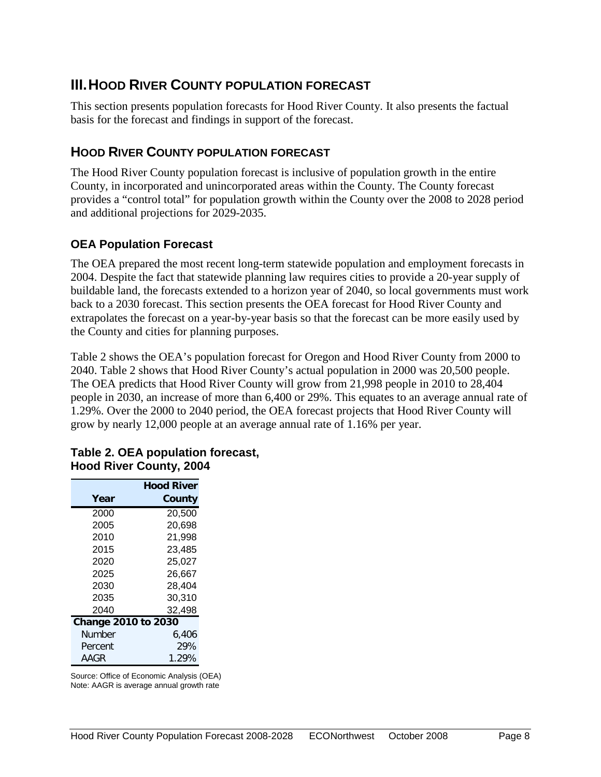# <span id="page-10-0"></span>**III.HOOD RIVER COUNTY POPULATION FORECAST**

This section presents population forecasts for Hood River County. It also presents the factual basis for the forecast and findings in support of the forecast.

# <span id="page-10-1"></span>**HOOD RIVER COUNTY POPULATION FORECAST**

The Hood River County population forecast is inclusive of population growth in the entire County, in incorporated and unincorporated areas within the County. The County forecast provides a "control total" for population growth within the County over the 2008 to 2028 period and additional projections for 2029-2035.

### **OEA Population Forecast**

The OEA prepared the most recent long-term statewide population and employment forecasts in 2004. Despite the fact that statewide planning law requires cities to provide a 20-year supply of buildable land, the forecasts extended to a horizon year of 2040, so local governments must work back to a 2030 forecast. This section presents the OEA forecast for Hood River County and extrapolates the forecast on a year-by-year basis so that the forecast can be more easily used by the County and cities for planning purposes.

Table 2 shows the OEA's population forecast for Oregon and Hood River County from 2000 to 2040. Table 2 shows that Hood River County's actual population in 2000 was 20,500 people. The OEA predicts that Hood River County will grow from 21,998 people in 2010 to 28,404 people in 2030, an increase of more than 6,400 or 29%. This equates to an average annual rate of 1.29%. Over the 2000 to 2040 period, the OEA forecast projects that Hood River County will grow by nearly 12,000 people at an average annual rate of 1.16% per year.

|                            | <b>Hood River</b> |
|----------------------------|-------------------|
| Year                       | County            |
| 2000                       | 20,500            |
| 2005                       | 20,698            |
| 2010                       | 21,998            |
| 2015                       | 23.485            |
| 2020                       | 25,027            |
| 2025                       | 26.667            |
| 2030                       | 28.404            |
| 2035                       | 30,310            |
| 2040                       | 32,498            |
| <b>Change 2010 to 2030</b> |                   |
| Number                     | 6.406             |
| Percent                    | 29%               |
| AAGR                       | 1.29%             |

#### **Table 2. OEA population forecast, Hood River County, 2004**

Source: Office of Economic Analysis (OEA) Note: AAGR is average annual growth rate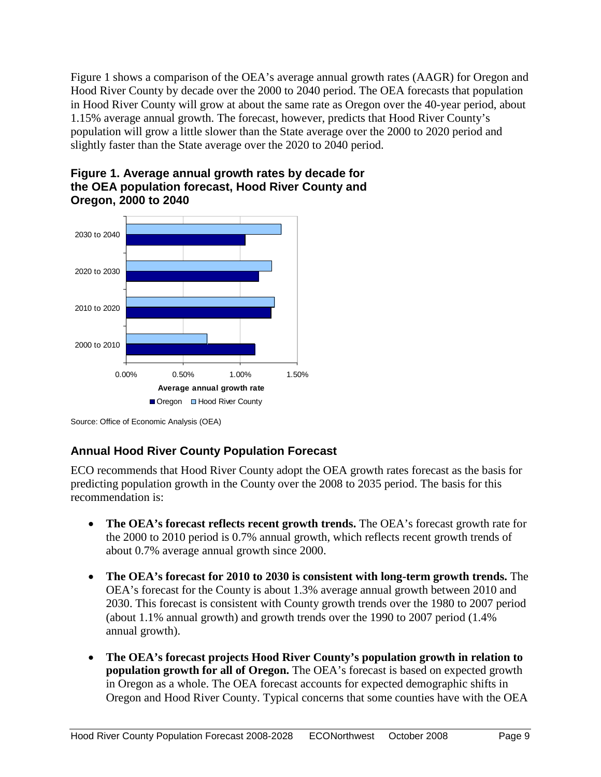Figure 1 shows a comparison of the OEA's average annual growth rates (AAGR) for Oregon and Hood River County by decade over the 2000 to 2040 period. The OEA forecasts that population in Hood River County will grow at about the same rate as Oregon over the 40-year period, about 1.15% average annual growth. The forecast, however, predicts that Hood River County's population will grow a little slower than the State average over the 2000 to 2020 period and slightly faster than the State average over the 2020 to 2040 period.





Source: Office of Economic Analysis (OEA)

# **Annual Hood River County Population Forecast**

ECO recommends that Hood River County adopt the OEA growth rates forecast as the basis for predicting population growth in the County over the 2008 to 2035 period. The basis for this recommendation is:

- **The OEA's forecast reflects recent growth trends.** The OEA's forecast growth rate for the 2000 to 2010 period is 0.7% annual growth, which reflects recent growth trends of about 0.7% average annual growth since 2000.
- **The OEA's forecast for 2010 to 2030 is consistent with long-term growth trends.** The OEA's forecast for the County is about 1.3% average annual growth between 2010 and 2030. This forecast is consistent with County growth trends over the 1980 to 2007 period (about 1.1% annual growth) and growth trends over the 1990 to 2007 period (1.4% annual growth).
- **The OEA's forecast projects Hood River County's population growth in relation to population growth for all of Oregon.** The OEA's forecast is based on expected growth in Oregon as a whole. The OEA forecast accounts for expected demographic shifts in Oregon and Hood River County. Typical concerns that some counties have with the OEA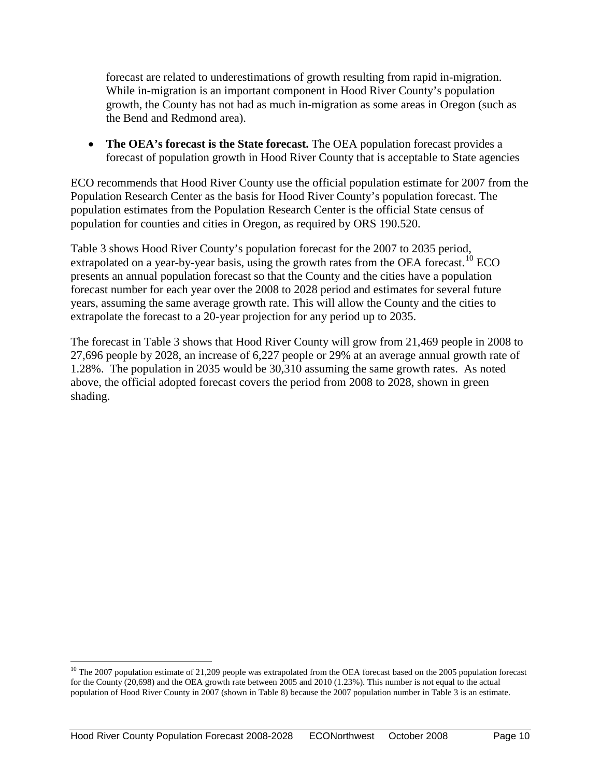forecast are related to underestimations of growth resulting from rapid in-migration. While in-migration is an important component in Hood River County's population growth, the County has not had as much in-migration as some areas in Oregon (such as the Bend and Redmond area).

• **The OEA's forecast is the State forecast.** The OEA population forecast provides a forecast of population growth in Hood River County that is acceptable to State agencies

ECO recommends that Hood River County use the official population estimate for 2007 from the Population Research Center as the basis for Hood River County's population forecast. The population estimates from the Population Research Center is the official State census of population for counties and cities in Oregon, as required by ORS 190.520.

Table 3 shows Hood River County's population forecast for the 2007 to 2035 period, extrapolated on a year-by-year basis, using the growth rates from the OEA forecast.<sup>[10](#page-12-0)</sup> ECO presents an annual population forecast so that the County and the cities have a population forecast number for each year over the 2008 to 2028 period and estimates for several future years, assuming the same average growth rate. This will allow the County and the cities to extrapolate the forecast to a 20-year projection for any period up to 2035.

The forecast in Table 3 shows that Hood River County will grow from 21,469 people in 2008 to 27,696 people by 2028, an increase of 6,227 people or 29% at an average annual growth rate of 1.28%. The population in 2035 would be 30,310 assuming the same growth rates. As noted above, the official adopted forecast covers the period from 2008 to 2028, shown in green shading.

<span id="page-12-0"></span> $10$  The 2007 population estimate of 21,209 people was extrapolated from the OEA forecast based on the 2005 population forecast for the County (20,698) and the OEA growth rate between 2005 and 2010 (1.23%). This number is not equal to the actual population of Hood River County in 2007 (shown in Table 8) because the 2007 population number in Table 3 is an estimate.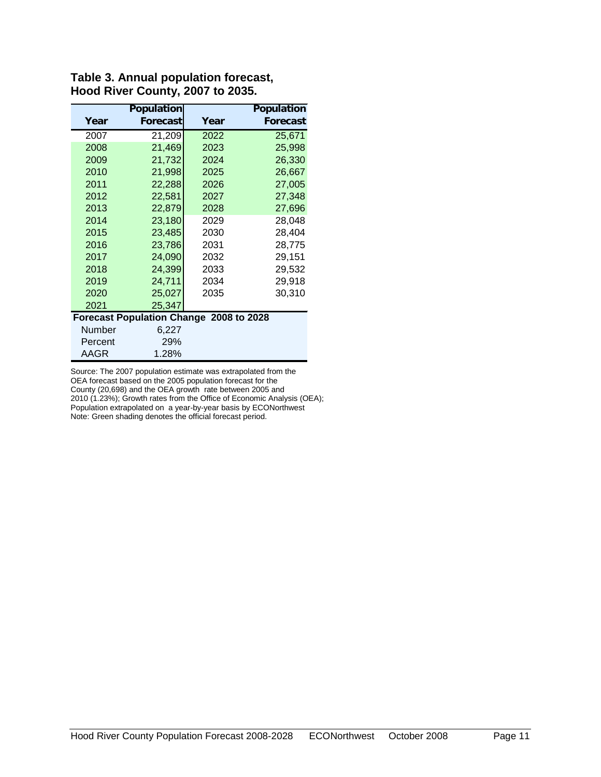|         | <b>Population</b>                       |      | <b>Population</b> |
|---------|-----------------------------------------|------|-------------------|
| Year    | Forecast                                | Year | Forecast          |
| 2007    | 21,209                                  | 2022 | 25,671            |
| 2008    | 21,469                                  | 2023 | 25,998            |
| 2009    | 21,732                                  | 2024 | 26,330            |
| 2010    | 21,998                                  | 2025 | 26,667            |
| 2011    | 22,288                                  | 2026 | 27,005            |
| 2012    | 22,581                                  | 2027 | 27,348            |
| 2013    | 22,879                                  | 2028 | 27,696            |
| 2014    | 23,180                                  | 2029 | 28,048            |
| 2015    | 23,485                                  | 2030 | 28,404            |
| 2016    | 23,786                                  | 2031 | 28,775            |
| 2017    | 24,090                                  | 2032 | 29,151            |
| 2018    | 24,399                                  | 2033 | 29,532            |
| 2019    | 24,711                                  | 2034 | 29,918            |
| 2020    | 25,027                                  | 2035 | 30,310            |
| 2021    | 25,347                                  |      |                   |
|         | Forecast Population Change 2008 to 2028 |      |                   |
| Number  | 6,227                                   |      |                   |
| Percent | 29%                                     |      |                   |
| AAGR    | 1.28%                                   |      |                   |

#### **Table 3. Annual population forecast, Hood River County, 2007 to 2035.**

Source: The 2007 population estimate was extrapolated from the OEA forecast based on the 2005 population forecast for the County (20,698) and the OEA growth rate between 2005 and 2010 (1.23%); Growth rates from the Office of Economic Analysis (OEA); Population extrapolated on a year-by-year basis by ECONorthwest Note: Green shading denotes the official forecast period.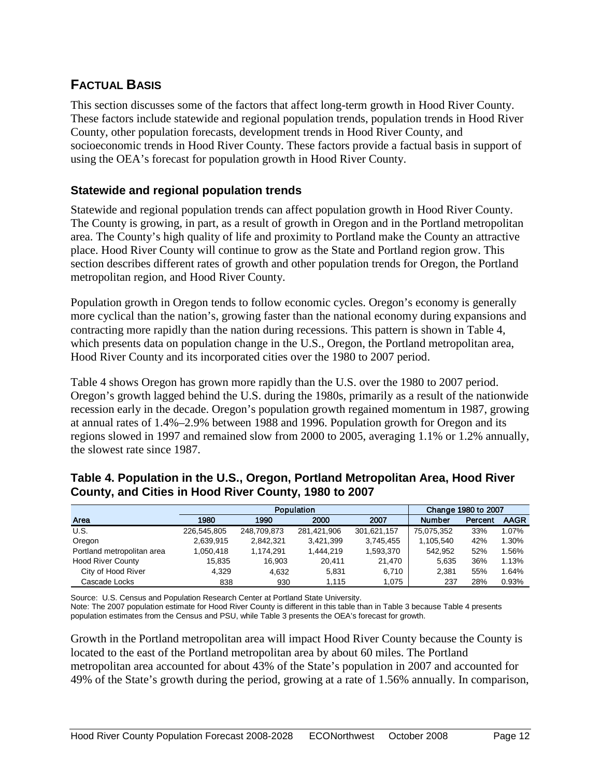# <span id="page-14-0"></span>**FACTUAL BASIS**

This section discusses some of the factors that affect long-term growth in Hood River County. These factors include statewide and regional population trends, population trends in Hood River County, other population forecasts, development trends in Hood River County, and socioeconomic trends in Hood River County. These factors provide a factual basis in support of using the OEA's forecast for population growth in Hood River County.

### **Statewide and regional population trends**

Statewide and regional population trends can affect population growth in Hood River County. The County is growing, in part, as a result of growth in Oregon and in the Portland metropolitan area. The County's high quality of life and proximity to Portland make the County an attractive place. Hood River County will continue to grow as the State and Portland region grow. This section describes different rates of growth and other population trends for Oregon, the Portland metropolitan region, and Hood River County.

Population growth in Oregon tends to follow economic cycles. Oregon's economy is generally more cyclical than the nation's, growing faster than the national economy during expansions and contracting more rapidly than the nation during recessions. This pattern is shown in Table 4, which presents data on population change in the U.S., Oregon, the Portland metropolitan area, Hood River County and its incorporated cities over the 1980 to 2007 period.

Table 4 shows Oregon has grown more rapidly than the U.S. over the 1980 to 2007 period. Oregon's growth lagged behind the U.S. during the 1980s, primarily as a result of the nationwide recession early in the decade. Oregon's population growth regained momentum in 1987, growing at annual rates of 1.4%–2.9% between 1988 and 1996. Population growth for Oregon and its regions slowed in 1997 and remained slow from 2000 to 2005, averaging 1.1% or 1.2% annually, the slowest rate since 1987.

#### Area 1980 1990 2000 2007 Number Percent AAGR U.S. 226,545,805 248,709,873 281,421,906 301,621,157 75,075,352 33% 1.07% Oregon 2,639,915 2,842,321 3,421,399 3,745,455 1,105,540 42% 1.30% Portland metropolitan area 1,050,418 1,174,291 1,444,219 1,593,370 | 542,952 52% 1.56% Hood River County 15,835 16,903 20,411 21,470 5,635 36% 1.13% City of Hood River 4,329 4,632 5,831 6,710 2,381 55% 1.64% Population **Change 1980 to 2007**

Cascade Locks 838 930 1,115 1,075 237 28% 0.93%

#### **Table 4. Population in the U.S., Oregon, Portland Metropolitan Area, Hood River County, and Cities in Hood River County, 1980 to 2007**

Source: U.S. Census and Population Research Center at Portland State University.

Note: The 2007 population estimate for Hood River County is different in this table than in Table 3 because Table 4 presents population estimates from the Census and PSU, while Table 3 presents the OEA's forecast for growth.

Growth in the Portland metropolitan area will impact Hood River County because the County is located to the east of the Portland metropolitan area by about 60 miles. The Portland metropolitan area accounted for about 43% of the State's population in 2007 and accounted for 49% of the State's growth during the period, growing at a rate of 1.56% annually. In comparison,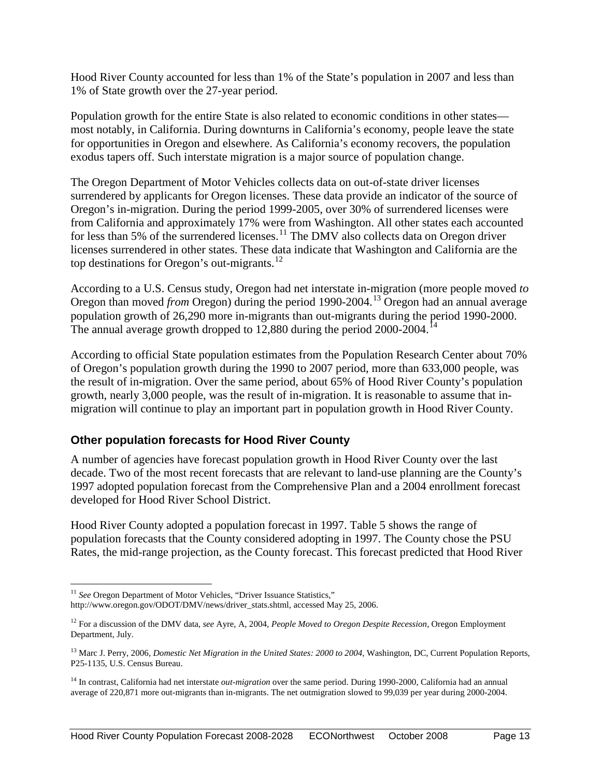Hood River County accounted for less than 1% of the State's population in 2007 and less than 1% of State growth over the 27-year period.

Population growth for the entire State is also related to economic conditions in other states most notably, in California. During downturns in California's economy, people leave the state for opportunities in Oregon and elsewhere. As California's economy recovers, the population exodus tapers off. Such interstate migration is a major source of population change.

The Oregon Department of Motor Vehicles collects data on out-of-state driver licenses surrendered by applicants for Oregon licenses. These data provide an indicator of the source of Oregon's in-migration. During the period 1999-2005, over 30% of surrendered licenses were from California and approximately 17% were from Washington. All other states each accounted for less than 5% of the surrendered licenses.<sup>[11](#page-15-0)</sup> The DMV also collects data on Oregon driver licenses surrendered in other states. These data indicate that Washington and California are the top destinations for Oregon's out-migrants.<sup>[12](#page-15-1)</sup>

According to a U.S. Census study, Oregon had net interstate in-migration (more people moved *to*  Oregon than moved *from* Oregon) during the period 1990-2004.[13](#page-15-2) Oregon had an annual average population growth of 26,290 more in-migrants than out-migrants during the period 1990-2000. The annual average growth dropped to  $12,880$  during the period  $2000-2004$ .

According to official State population estimates from the Population Research Center about 70% of Oregon's population growth during the 1990 to 2007 period, more than 633,000 people, was the result of in-migration. Over the same period, about 65% of Hood River County's population growth, nearly 3,000 people, was the result of in-migration. It is reasonable to assume that inmigration will continue to play an important part in population growth in Hood River County.

### **Other population forecasts for Hood River County**

A number of agencies have forecast population growth in Hood River County over the last decade. Two of the most recent forecasts that are relevant to land-use planning are the County's 1997 adopted population forecast from the Comprehensive Plan and a 2004 enrollment forecast developed for Hood River School District.

Hood River County adopted a population forecast in 1997. Table 5 shows the range of population forecasts that the County considered adopting in 1997. The County chose the PSU Rates, the mid-range projection, as the County forecast. This forecast predicted that Hood River

<span id="page-15-0"></span><sup>&</sup>lt;sup>11</sup> See Oregon Department of Motor Vehicles, "Driver Issuance Statistics," http://www.oregon.gov/ODOT/DMV/news/driver\_stats.shtml, accessed May 25, 2006.

<span id="page-15-1"></span><sup>12</sup> For a discussion of the DMV data, *see* Ayre, A, 2004, *People Moved to Oregon Despite Recession*, Oregon Employment Department, July.

<span id="page-15-2"></span><sup>&</sup>lt;sup>13</sup> Marc J. Perry, 2006, *Domestic Net Migration in the United States: 2000 to 2004*, Washington, DC, Current Population Reports, P25-1135, U.S. Census Bureau.

<span id="page-15-3"></span><sup>14</sup> In contrast, California had net interstate *out-migration* over the same period. During 1990-2000, California had an annual average of 220,871 more out-migrants than in-migrants. The net outmigration slowed to 99,039 per year during 2000-2004.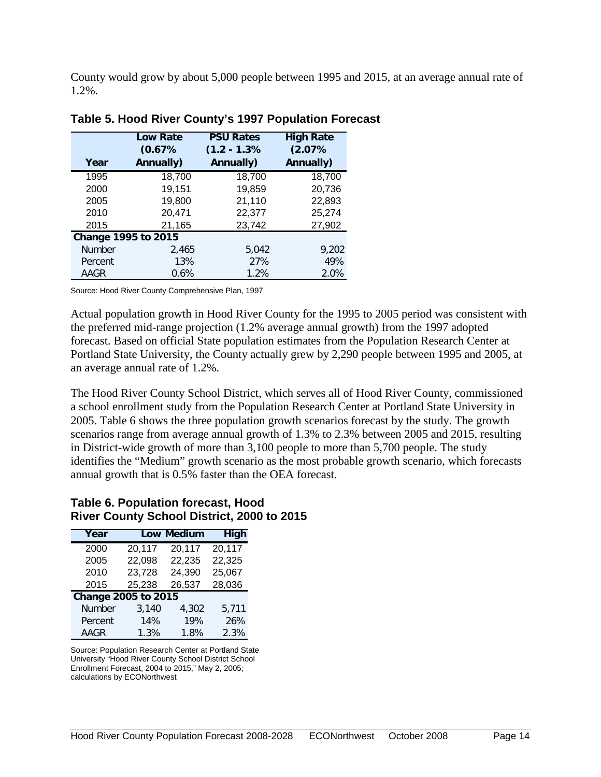County would grow by about 5,000 people between 1995 and 2015, at an average annual rate of 1.2%.

| Year    | <b>Low Rate</b><br>(0.67%<br>Annually) | <b>PSU Rates</b><br>$(1.2 - 1.3%)$<br>Annually) | <b>High Rate</b><br>(2.07%<br>Annually) |
|---------|----------------------------------------|-------------------------------------------------|-----------------------------------------|
| 1995    | 18,700                                 | 18,700                                          | 18,700                                  |
| 2000    | 19,151                                 | 19,859                                          | 20,736                                  |
| 2005    | 19,800                                 | 21,110                                          | 22,893                                  |
| 2010    | 20,471                                 | 22,377                                          | 25,274                                  |
| 2015    | 21,165                                 | 23,742                                          | 27,902                                  |
|         | <b>Change 1995 to 2015</b>             |                                                 |                                         |
| Number  | 2,465                                  | 5,042                                           | 9.202                                   |
| Percent | 13%                                    | 27%                                             | 49%                                     |
| AAGR    | 0.6%                                   | 1.2%                                            | 2.0%                                    |

#### **Table 5. Hood River County's 1997 Population Forecast**

Source: Hood River County Comprehensive Plan, 1997

Actual population growth in Hood River County for the 1995 to 2005 period was consistent with the preferred mid-range projection (1.2% average annual growth) from the 1997 adopted forecast. Based on official State population estimates from the Population Research Center at Portland State University, the County actually grew by 2,290 people between 1995 and 2005, at an average annual rate of 1.2%.

The Hood River County School District, which serves all of Hood River County, commissioned a school enrollment study from the Population Research Center at Portland State University in 2005. Table 6 shows the three population growth scenarios forecast by the study. The growth scenarios range from average annual growth of 1.3% to 2.3% between 2005 and 2015, resulting in District-wide growth of more than 3,100 people to more than 5,700 people. The study identifies the "Medium" growth scenario as the most probable growth scenario, which forecasts annual growth that is 0.5% faster than the OEA forecast.

#### **Table 6. Population forecast, Hood River County School District, 2000 to 2015**

| Year                |                  | <b>Low Medium</b> | <b>High</b> |
|---------------------|------------------|-------------------|-------------|
| 2000                | 20,117           | 20,117            | 20,117      |
| 2005                | 22,098           | 22,235            | 22,325      |
| 2010                | 23,728           | 24,390            | 25,067      |
| 2015                | 26,537<br>25,238 |                   | 28,036      |
| Change 2005 to 2015 |                  |                   |             |
| Number              | 3,140            | 4,302             | 5,711       |
| Percent             | 14%              | 19%               | 26%         |
| <b>AAGR</b>         | 1.3%             | 1.8%              | 2.3%        |

Source: Population Research Center at Portland State University "Hood River County School District School Enrollment Forecast, 2004 to 2015," May 2, 2005; calculations by ECONorthwest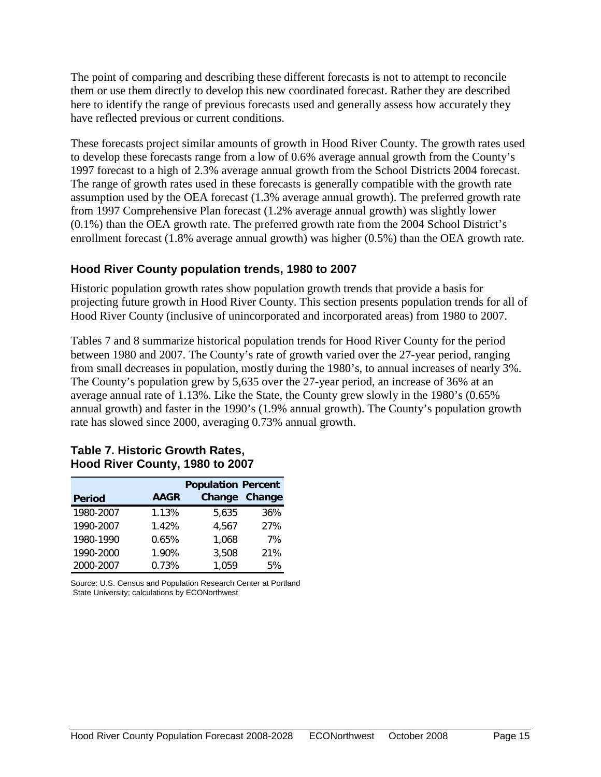The point of comparing and describing these different forecasts is not to attempt to reconcile them or use them directly to develop this new coordinated forecast. Rather they are described here to identify the range of previous forecasts used and generally assess how accurately they have reflected previous or current conditions.

These forecasts project similar amounts of growth in Hood River County. The growth rates used to develop these forecasts range from a low of 0.6% average annual growth from the County's 1997 forecast to a high of 2.3% average annual growth from the School Districts 2004 forecast. The range of growth rates used in these forecasts is generally compatible with the growth rate assumption used by the OEA forecast (1.3% average annual growth). The preferred growth rate from 1997 Comprehensive Plan forecast (1.2% average annual growth) was slightly lower (0.1%) than the OEA growth rate. The preferred growth rate from the 2004 School District's enrollment forecast (1.8% average annual growth) was higher (0.5%) than the OEA growth rate.

### **Hood River County population trends, 1980 to 2007**

Historic population growth rates show population growth trends that provide a basis for projecting future growth in Hood River County. This section presents population trends for all of Hood River County (inclusive of unincorporated and incorporated areas) from 1980 to 2007.

Tables 7 and 8 summarize historical population trends for Hood River County for the period between 1980 and 2007. The County's rate of growth varied over the 27-year period, ranging from small decreases in population, mostly during the 1980's, to annual increases of nearly 3%. The County's population grew by 5,635 over the 27-year period, an increase of 36% at an average annual rate of 1.13%. Like the State, the County grew slowly in the 1980's (0.65% annual growth) and faster in the 1990's (1.9% annual growth). The County's population growth rate has slowed since 2000, averaging 0.73% annual growth.

|               |             | <b>Population Percent</b> |        |  |  |  |
|---------------|-------------|---------------------------|--------|--|--|--|
| <b>Period</b> | <b>AAGR</b> | Change                    | Change |  |  |  |
| 1980-2007     | 1.13%       | 5,635                     | 36%    |  |  |  |
| 1990-2007     | 1.42%       | 4,567                     | 27%    |  |  |  |
| 1980-1990     | 0.65%       | 1,068                     | 7%     |  |  |  |
| 1990-2000     | 1.90%       | 3,508                     | 21%    |  |  |  |
| 2000-2007     | 0.73%       | 1,059                     | 5%     |  |  |  |

#### **Table 7. Historic Growth Rates, Hood River County, 1980 to 2007**

Source: U.S. Census and Population Research Center at Portland State University; calculations by ECONorthwest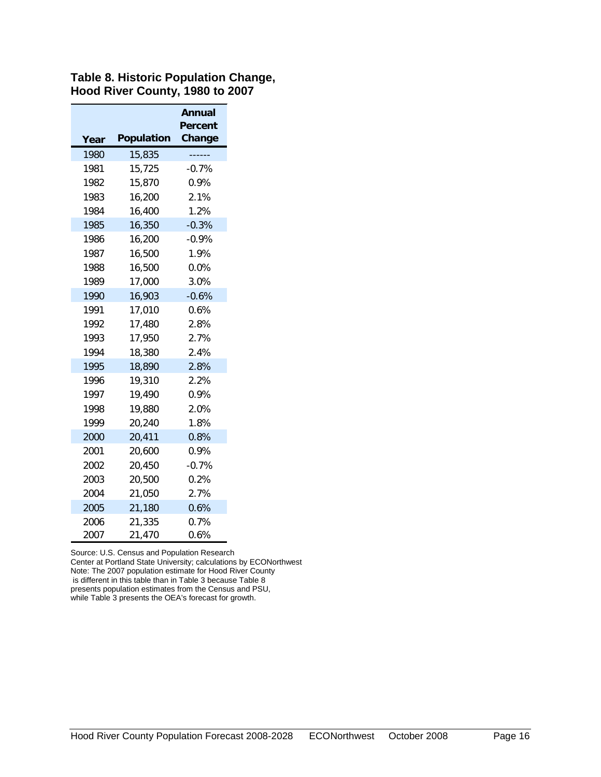#### **Table 8. Historic Population Change, Hood River County, 1980 to 2007**

|      |                   | Annual            |
|------|-------------------|-------------------|
| Year | <b>Population</b> | Percent<br>Change |
| 1980 | 15,835            |                   |
| 1981 | 15,725            | $-0.7%$           |
| 1982 | 15,870            | 0.9%              |
| 1983 | 16,200            | 2.1%              |
| 1984 | 16,400            | 1.2%              |
| 1985 | 16,350            | $-0.3%$           |
| 1986 | 16,200            | $-0.9%$           |
| 1987 | 16,500            | 1.9%              |
| 1988 | 16,500            | 0.0%              |
| 1989 | 17,000            | 3.0%              |
| 1990 | 16,903            | $-0.6%$           |
| 1991 | 17,010            | 0.6%              |
| 1992 | 17,480            | 2.8%              |
| 1993 | 17,950            | 2.7%              |
| 1994 | 18,380            | 2.4%              |
| 1995 | 18,890            | 2.8%              |
| 1996 | 19,310            | 2.2%              |
| 1997 | 19,490            | $0.9\%$           |
| 1998 | 19,880            | 2.0%              |
| 1999 | 20,240            | 1.8%              |
| 2000 | 20,411            | 0.8%              |
| 2001 | 20,600            | 0.9%              |
| 2002 | 20,450            | $-0.7%$           |
| 2003 | 20,500            | 0.2%              |
| 2004 | 21,050            | 2.7%              |
| 2005 | 21,180            | 0.6%              |
| 2006 | 21,335            | 0.7%              |
| 2007 | 21,470            | 0.6%              |

Source: U.S. Census and Population Research

Center at Portland State University; calculations by ECONorthwest Note: The 2007 population estimate for Hood River County is different in this table than in Table 3 because Table 8 presents population estimates from the Census and PSU, while Table 3 presents the OEA's forecast for growth.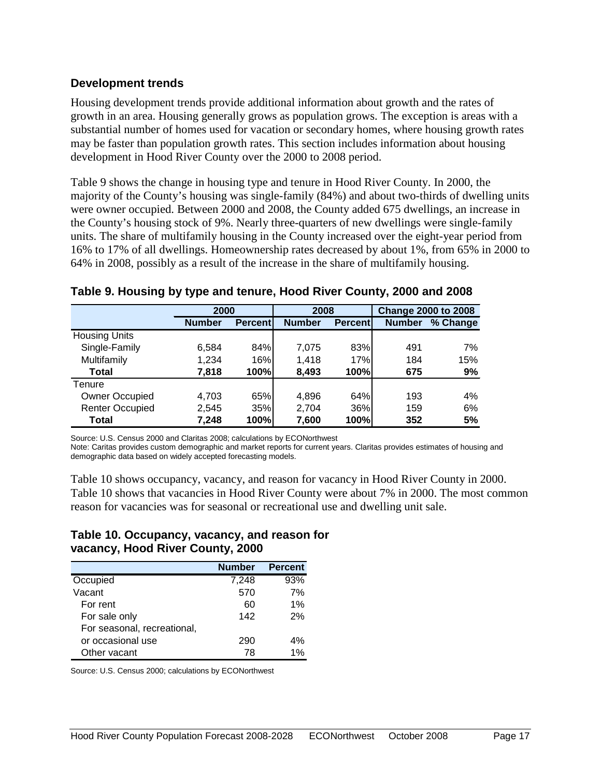#### **Development trends**

Housing development trends provide additional information about growth and the rates of growth in an area. Housing generally grows as population grows. The exception is areas with a substantial number of homes used for vacation or secondary homes, where housing growth rates may be faster than population growth rates. This section includes information about housing development in Hood River County over the 2000 to 2008 period.

Table 9 shows the change in housing type and tenure in Hood River County. In 2000, the majority of the County's housing was single-family (84%) and about two-thirds of dwelling units were owner occupied. Between 2000 and 2008, the County added 675 dwellings, an increase in the County's housing stock of 9%. Nearly three-quarters of new dwellings were single-family units. The share of multifamily housing in the County increased over the eight-year period from 16% to 17% of all dwellings. Homeownership rates decreased by about 1%, from 65% in 2000 to 64% in 2008, possibly as a result of the increase in the share of multifamily housing.

|                        | 2000          |                 | 2008          |                 | <b>Change 2000 to 2008</b> |          |  |
|------------------------|---------------|-----------------|---------------|-----------------|----------------------------|----------|--|
|                        | <b>Number</b> | <b>Percentl</b> | <b>Number</b> | <b>Percentl</b> | <b>Number</b>              | % Change |  |
| <b>Housing Units</b>   |               |                 |               |                 |                            |          |  |
| Single-Family          | 6,584         | 84%             | 7,075         | 83%             | 491                        | 7%       |  |
| Multifamily            | 1,234         | 16%             | 1,418         | 17%             | 184                        | 15%      |  |
| Total                  | 7,818         | 100%            | 8,493         | 100%            | 675                        | 9%       |  |
| Tenure                 |               |                 |               |                 |                            |          |  |
| <b>Owner Occupied</b>  | 4,703         | 65%             | 4,896         | 64%             | 193                        | 4%       |  |
| <b>Renter Occupied</b> | 2,545         | 35%             | 2,704         | 36%             | 159                        | 6%       |  |
| Total                  | 7.248         | 100%            | 7,600         | 100%            | 352                        | 5%       |  |

#### **Table 9. Housing by type and tenure, Hood River County, 2000 and 2008**

Source: U.S. Census 2000 and Claritas 2008; calculations by ECONorthwest

Note: Caritas provides custom demographic and market reports for current years. Claritas provides estimates of housing and demographic data based on widely accepted forecasting models.

Table 10 shows occupancy, vacancy, and reason for vacancy in Hood River County in 2000. Table 10 shows that vacancies in Hood River County were about 7% in 2000. The most common reason for vacancies was for seasonal or recreational use and dwelling unit sale.

#### **Table 10. Occupancy, vacancy, and reason for vacancy, Hood River County, 2000**

|                             | <b>Number</b> | <b>Percent</b> |
|-----------------------------|---------------|----------------|
| Occupied                    | 7,248         | 93%            |
| Vacant                      | 570           | 7%             |
| For rent                    | 60            | 1%             |
| For sale only               | 142           | 2%             |
| For seasonal, recreational, |               |                |
| or occasional use           | 290           | 4%             |
| Other vacant                | 78            | 1%             |

Source: U.S. Census 2000; calculations by ECONorthwest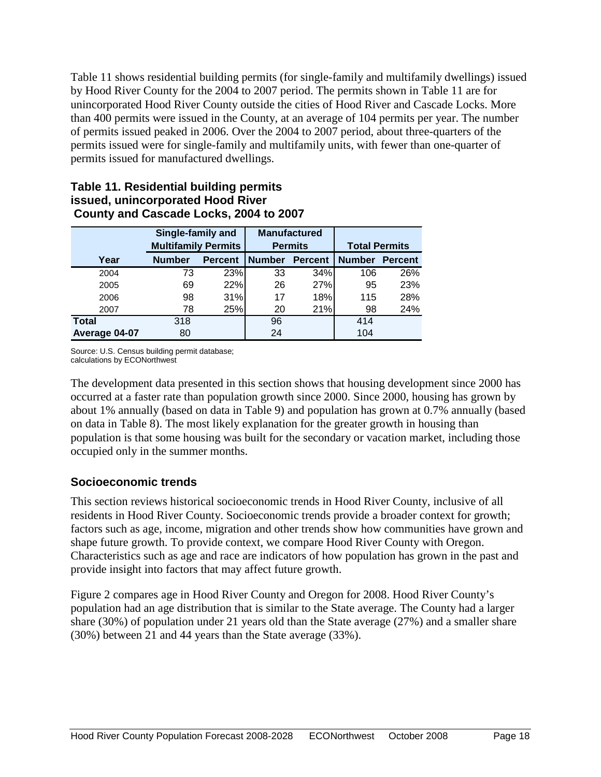Table 11 shows residential building permits (for single-family and multifamily dwellings) issued by Hood River County for the 2004 to 2007 period. The permits shown in Table 11 are for unincorporated Hood River County outside the cities of Hood River and Cascade Locks. More than 400 permits were issued in the County, at an average of 104 permits per year. The number of permits issued peaked in 2006. Over the 2004 to 2007 period, about three-quarters of the permits issued were for single-family and multifamily units, with fewer than one-quarter of permits issued for manufactured dwellings.

#### **Table 11. Residential building permits issued, unincorporated Hood River County and Cascade Locks, 2004 to 2007**

|               | Single-family and<br><b>Multifamily Permits</b> |                | <b>Manufactured</b><br><b>Permits</b> |                | <b>Total Permits</b> |                |
|---------------|-------------------------------------------------|----------------|---------------------------------------|----------------|----------------------|----------------|
| Year          | <b>Number</b>                                   | <b>Percent</b> | <b>Number</b>                         | <b>Percent</b> | <b>Number</b>        | <b>Percent</b> |
| 2004          | 73                                              | 23%            | 33                                    | 34%            | 106                  | 26%            |
| 2005          | 69                                              | 22%            | 26                                    | 27%            | 95                   | 23%            |
| 2006          | 98                                              | 31%            | 17                                    | 18%            | 115                  | 28%            |
| 2007          | 78                                              | 25%            | 20                                    | 21%            | 98                   | 24%            |
| <b>Total</b>  | 318                                             |                | 96                                    |                | 414                  |                |
| Average 04-07 | 80                                              |                | 24                                    |                | 104                  |                |

Source: U.S. Census building permit database; calculations by ECONorthwest

The development data presented in this section shows that housing development since 2000 has occurred at a faster rate than population growth since 2000. Since 2000, housing has grown by about 1% annually (based on data in Table 9) and population has grown at 0.7% annually (based on data in Table 8). The most likely explanation for the greater growth in housing than population is that some housing was built for the secondary or vacation market, including those occupied only in the summer months.

# **Socioeconomic trends**

This section reviews historical socioeconomic trends in Hood River County, inclusive of all residents in Hood River County. Socioeconomic trends provide a broader context for growth; factors such as age, income, migration and other trends show how communities have grown and shape future growth. To provide context, we compare Hood River County with Oregon. Characteristics such as age and race are indicators of how population has grown in the past and provide insight into factors that may affect future growth.

Figure 2 compares age in Hood River County and Oregon for 2008. Hood River County's population had an age distribution that is similar to the State average. The County had a larger share (30%) of population under 21 years old than the State average (27%) and a smaller share (30%) between 21 and 44 years than the State average (33%).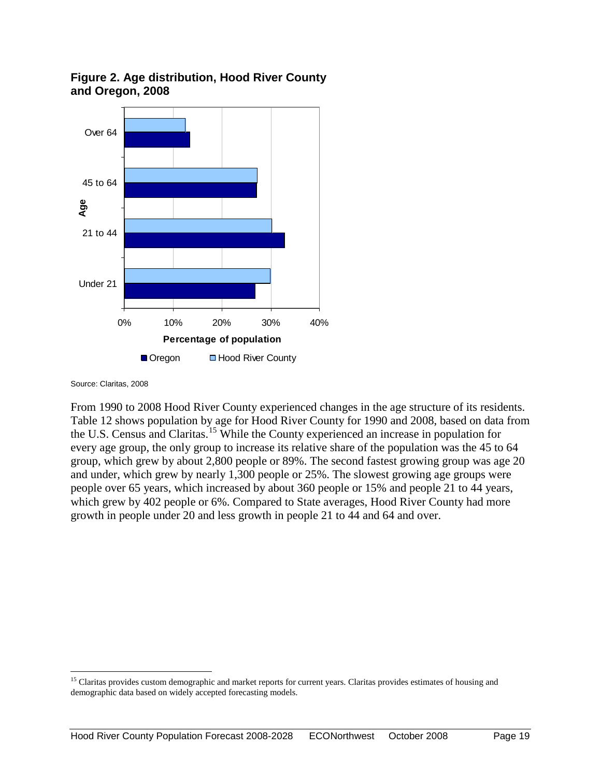

#### **Figure 2. Age distribution, Hood River County and Oregon, 2008**

Source: Claritas, 2008

From 1990 to 2008 Hood River County experienced changes in the age structure of its residents. Table 12 shows population by age for Hood River County for 1990 and 2008, based on data from the U.S. Census and Claritas.<sup>[15](#page-21-0)</sup> While the County experienced an increase in population for every age group, the only group to increase its relative share of the population was the 45 to 64 group, which grew by about 2,800 people or 89%. The second fastest growing group was age 20 and under, which grew by nearly 1,300 people or 25%. The slowest growing age groups were people over 65 years, which increased by about 360 people or 15% and people 21 to 44 years, which grew by 402 people or 6%. Compared to State averages, Hood River County had more growth in people under 20 and less growth in people 21 to 44 and 64 and over.

<span id="page-21-0"></span><sup>&</sup>lt;sup>15</sup> Claritas provides custom demographic and market reports for current years. Claritas provides estimates of housing and demographic data based on widely accepted forecasting models.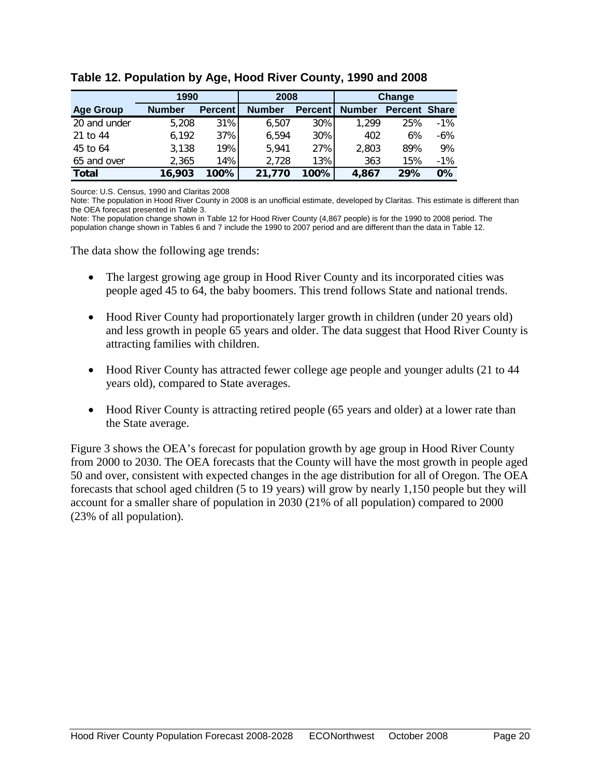|                  | 1990          |                | 2008          |                | Change        |                |              |
|------------------|---------------|----------------|---------------|----------------|---------------|----------------|--------------|
| <b>Age Group</b> | <b>Number</b> | <b>Percent</b> | <b>Number</b> | <b>Percent</b> | <b>Number</b> | <b>Percent</b> | <b>Share</b> |
| 20 and under     | 5,208         | 31%            | 6.507         | 30%            | 1.299         | 25%            | $-1\%$       |
| 21 to 44         | 6,192         | 37%            | 6,594         | 30%            | 402           | 6%             | $-6\%$       |
| 45 to 64         | 3,138         | 19%            | 5,941         | 27%            | 2,803         | 89%            | 9%           |
| 65 and over      | 2.365         | 14%            | 2,728         | 13%            | 363           | 15%            | $-1\%$       |
| <b>Total</b>     | 16,903        | $100\%$        | 21,770        | 100%           | 4,867         | 29%            | $0\%$        |

**Table 12. Population by Age, Hood River County, 1990 and 2008**

Source: U.S. Census, 1990 and Claritas 2008

Note: The population in Hood River County in 2008 is an unofficial estimate, developed by Claritas. This estimate is different than the OEA forecast presented in Table 3.

Note: The population change shown in Table 12 for Hood River County (4,867 people) is for the 1990 to 2008 period. The population change shown in Tables 6 and 7 include the 1990 to 2007 period and are different than the data in Table 12.

The data show the following age trends:

- The largest growing age group in Hood River County and its incorporated cities was people aged 45 to 64, the baby boomers. This trend follows State and national trends.
- Hood River County had proportionately larger growth in children (under 20 years old) and less growth in people 65 years and older. The data suggest that Hood River County is attracting families with children.
- Hood River County has attracted fewer college age people and younger adults (21 to 44 years old), compared to State averages.
- Hood River County is attracting retired people (65 years and older) at a lower rate than the State average.

Figure 3 shows the OEA's forecast for population growth by age group in Hood River County from 2000 to 2030. The OEA forecasts that the County will have the most growth in people aged 50 and over, consistent with expected changes in the age distribution for all of Oregon. The OEA forecasts that school aged children (5 to 19 years) will grow by nearly 1,150 people but they will account for a smaller share of population in 2030 (21% of all population) compared to 2000 (23% of all population).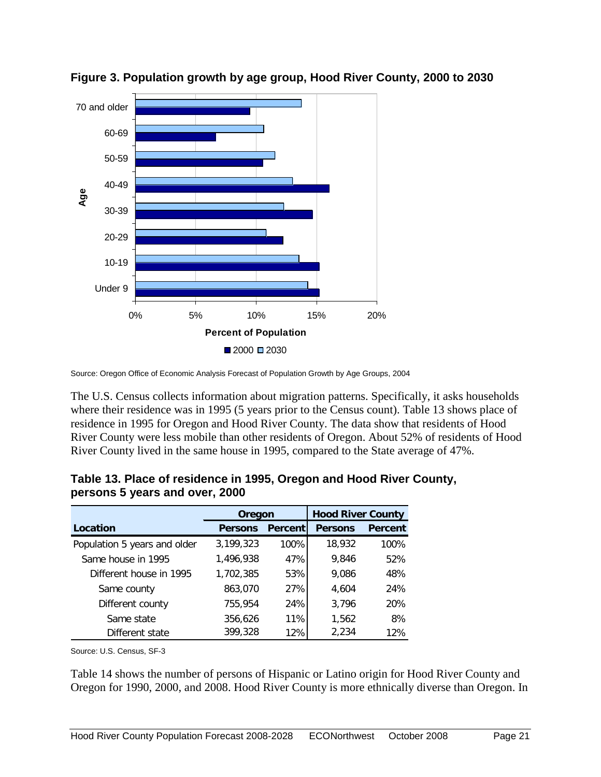

**Figure 3. Population growth by age group, Hood River County, 2000 to 2030**

Source: Oregon Office of Economic Analysis Forecast of Population Growth by Age Groups, 2004

The U.S. Census collects information about migration patterns. Specifically, it asks households where their residence was in 1995 (5 years prior to the Census count). Table 13 shows place of residence in 1995 for Oregon and Hood River County. The data show that residents of Hood River County were less mobile than other residents of Oregon. About 52% of residents of Hood River County lived in the same house in 1995, compared to the State average of 47%.

|                              | Oregon         |                | <b>Hood River County</b> |                |
|------------------------------|----------------|----------------|--------------------------|----------------|
| Location                     | <b>Persons</b> | <b>Percent</b> | <b>Persons</b>           | <b>Percent</b> |
| Population 5 years and older | 3,199,323      | 100%           | 18,932                   | 100%           |
| Same house in 1995           | 1,496,938      | 47%            | 9,846                    | 52%            |
| Different house in 1995      | 1,702,385      | 53%            | 9,086                    | 48%            |
| Same county                  | 863,070        | 27%            | 4,604                    | 24%            |
| Different county             | 755,954        | 24%            | 3,796                    | 20%            |
| Same state                   | 356,626        | 11%            | 1,562                    | 8%             |
| Different state              | 399,328        | 12%            | 2,234                    | 12%            |

**Table 13. Place of residence in 1995, Oregon and Hood River County, persons 5 years and over, 2000**

Source: U.S. Census, SF-3

Table 14 shows the number of persons of Hispanic or Latino origin for Hood River County and Oregon for 1990, 2000, and 2008. Hood River County is more ethnically diverse than Oregon. In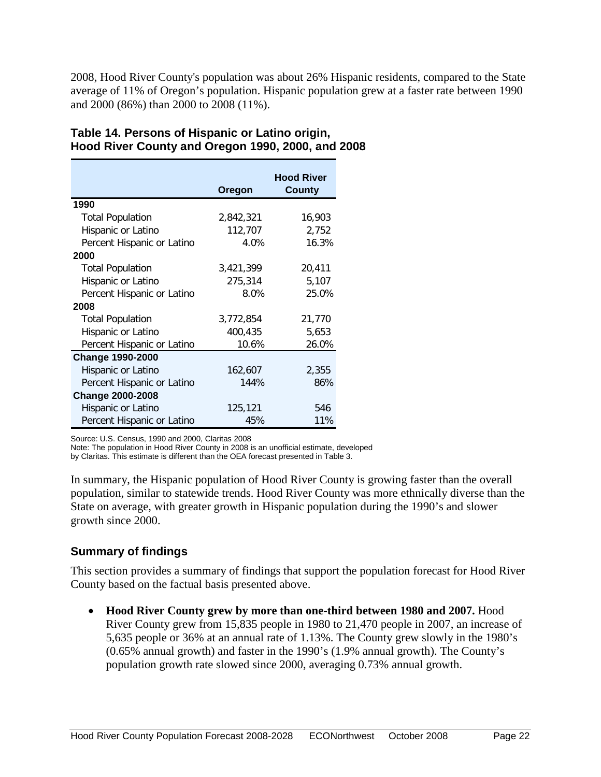2008, Hood River County's population was about 26% Hispanic residents, compared to the State average of 11% of Oregon's population. Hispanic population grew at a faster rate between 1990 and 2000 (86%) than 2000 to 2008 (11%).

|                            | Oregon    | <b>Hood River</b><br><b>County</b> |
|----------------------------|-----------|------------------------------------|
| 1990                       |           |                                    |
| <b>Total Population</b>    | 2,842,321 | 16,903                             |
| Hispanic or Latino         | 112,707   | 2,752                              |
| Percent Hispanic or Latino | 4.0%      | 16.3%                              |
| 2000                       |           |                                    |
| <b>Total Population</b>    | 3,421,399 | 20,411                             |
| Hispanic or Latino         | 275,314   | 5,107                              |
| Percent Hispanic or Latino | $8.0\%$   | 25.0%                              |
| 2008                       |           |                                    |
| <b>Total Population</b>    | 3,772,854 | 21,770                             |
| Hispanic or Latino         | 400,435   | 5,653                              |
| Percent Hispanic or Latino | 10.6%     | 26.0%                              |
| <b>Change 1990-2000</b>    |           |                                    |
| Hispanic or Latino         | 162,607   | 2,355                              |
| Percent Hispanic or Latino | 144%      | 86%                                |
| <b>Change 2000-2008</b>    |           |                                    |
| Hispanic or Latino         | 125,121   | 546                                |
| Percent Hispanic or Latino | 45%       | 11%                                |

# **Table 14. Persons of Hispanic or Latino origin, Hood River County and Oregon 1990, 2000, and 2008**

Source: U.S. Census, 1990 and 2000, Claritas 2008

Note: The population in Hood River County in 2008 is an unofficial estimate, developed

by Claritas. This estimate is different than the OEA forecast presented in Table 3.

In summary, the Hispanic population of Hood River County is growing faster than the overall population, similar to statewide trends. Hood River County was more ethnically diverse than the State on average, with greater growth in Hispanic population during the 1990's and slower growth since 2000.

#### **Summary of findings**

This section provides a summary of findings that support the population forecast for Hood River County based on the factual basis presented above.

• **Hood River County grew by more than one-third between 1980 and 2007.** Hood River County grew from 15,835 people in 1980 to 21,470 people in 2007, an increase of 5,635 people or 36% at an annual rate of 1.13%. The County grew slowly in the 1980's (0.65% annual growth) and faster in the 1990's (1.9% annual growth). The County's population growth rate slowed since 2000, averaging 0.73% annual growth.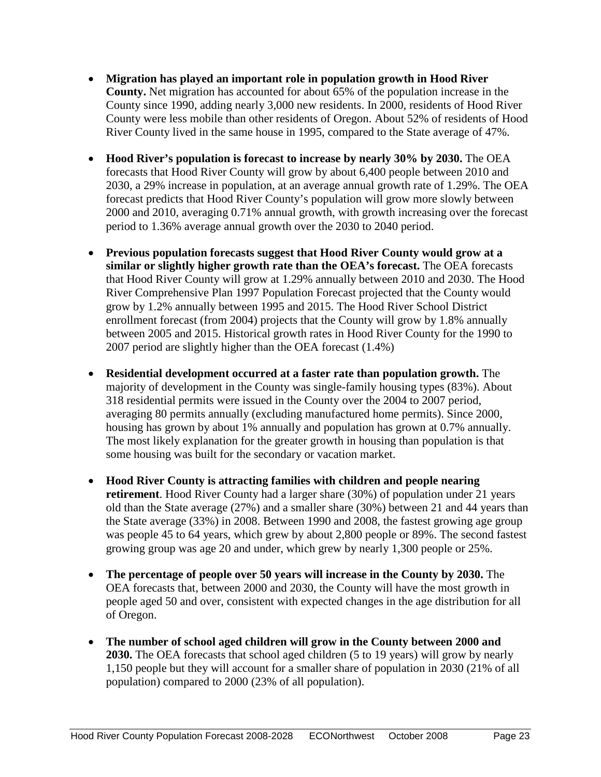- **Migration has played an important role in population growth in Hood River County.** Net migration has accounted for about 65% of the population increase in the County since 1990, adding nearly 3,000 new residents. In 2000, residents of Hood River County were less mobile than other residents of Oregon. About 52% of residents of Hood River County lived in the same house in 1995, compared to the State average of 47%.
- **Hood River's population is forecast to increase by nearly 30% by 2030.** The OEA forecasts that Hood River County will grow by about 6,400 people between 2010 and 2030, a 29% increase in population, at an average annual growth rate of 1.29%. The OEA forecast predicts that Hood River County's population will grow more slowly between 2000 and 2010, averaging 0.71% annual growth, with growth increasing over the forecast period to 1.36% average annual growth over the 2030 to 2040 period.
- **Previous population forecasts suggest that Hood River County would grow at a similar or slightly higher growth rate than the OEA's forecast.** The OEA forecasts that Hood River County will grow at 1.29% annually between 2010 and 2030. The Hood River Comprehensive Plan 1997 Population Forecast projected that the County would grow by 1.2% annually between 1995 and 2015. The Hood River School District enrollment forecast (from 2004) projects that the County will grow by 1.8% annually between 2005 and 2015. Historical growth rates in Hood River County for the 1990 to 2007 period are slightly higher than the OEA forecast (1.4%)
- **Residential development occurred at a faster rate than population growth.** The majority of development in the County was single-family housing types (83%). About 318 residential permits were issued in the County over the 2004 to 2007 period, averaging 80 permits annually (excluding manufactured home permits). Since 2000, housing has grown by about 1% annually and population has grown at 0.7% annually. The most likely explanation for the greater growth in housing than population is that some housing was built for the secondary or vacation market.
- **Hood River County is attracting families with children and people nearing retirement**. Hood River County had a larger share (30%) of population under 21 years old than the State average (27%) and a smaller share (30%) between 21 and 44 years than the State average (33%) in 2008. Between 1990 and 2008, the fastest growing age group was people 45 to 64 years, which grew by about 2,800 people or 89%. The second fastest growing group was age 20 and under, which grew by nearly 1,300 people or 25%.
- **The percentage of people over 50 years will increase in the County by 2030.** The OEA forecasts that, between 2000 and 2030, the County will have the most growth in people aged 50 and over, consistent with expected changes in the age distribution for all of Oregon.
- **The number of school aged children will grow in the County between 2000 and 2030.** The OEA forecasts that school aged children (5 to 19 years) will grow by nearly 1,150 people but they will account for a smaller share of population in 2030 (21% of all population) compared to 2000 (23% of all population).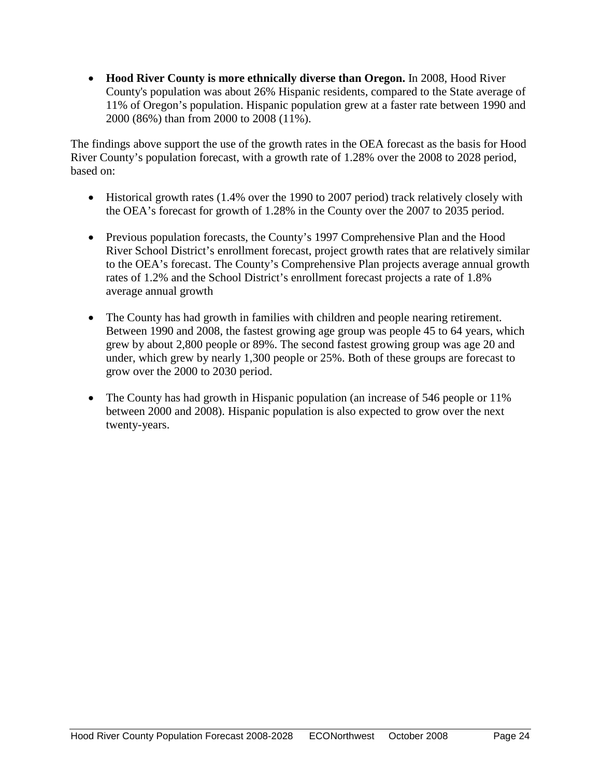• **Hood River County is more ethnically diverse than Oregon.** In 2008, Hood River County's population was about 26% Hispanic residents, compared to the State average of 11% of Oregon's population. Hispanic population grew at a faster rate between 1990 and 2000 (86%) than from 2000 to 2008 (11%).

The findings above support the use of the growth rates in the OEA forecast as the basis for Hood River County's population forecast, with a growth rate of 1.28% over the 2008 to 2028 period, based on:

- Historical growth rates (1.4% over the 1990 to 2007 period) track relatively closely with the OEA's forecast for growth of 1.28% in the County over the 2007 to 2035 period.
- Previous population forecasts, the County's 1997 Comprehensive Plan and the Hood River School District's enrollment forecast, project growth rates that are relatively similar to the OEA's forecast. The County's Comprehensive Plan projects average annual growth rates of 1.2% and the School District's enrollment forecast projects a rate of 1.8% average annual growth
- The County has had growth in families with children and people nearing retirement. Between 1990 and 2008, the fastest growing age group was people 45 to 64 years, which grew by about 2,800 people or 89%. The second fastest growing group was age 20 and under, which grew by nearly 1,300 people or 25%. Both of these groups are forecast to grow over the 2000 to 2030 period.
- The County has had growth in Hispanic population (an increase of 546 people or 11%) between 2000 and 2008). Hispanic population is also expected to grow over the next twenty-years.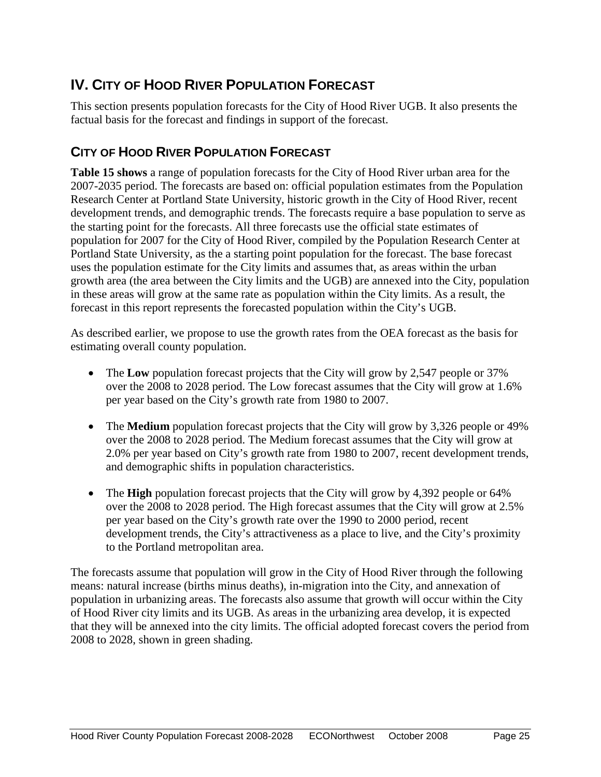# <span id="page-27-0"></span>**IV. CITY OF HOOD RIVER POPULATION FORECAST**

This section presents population forecasts for the City of Hood River UGB. It also presents the factual basis for the forecast and findings in support of the forecast.

# <span id="page-27-1"></span>**CITY OF HOOD RIVER POPULATION FORECAST**

**Table 15 shows** a range of population forecasts for the City of Hood River urban area for the 2007-2035 period. The forecasts are based on: official population estimates from the Population Research Center at Portland State University, historic growth in the City of Hood River, recent development trends, and demographic trends. The forecasts require a base population to serve as the starting point for the forecasts. All three forecasts use the official state estimates of population for 2007 for the City of Hood River, compiled by the Population Research Center at Portland State University, as the a starting point population for the forecast. The base forecast uses the population estimate for the City limits and assumes that, as areas within the urban growth area (the area between the City limits and the UGB) are annexed into the City, population in these areas will grow at the same rate as population within the City limits. As a result, the forecast in this report represents the forecasted population within the City's UGB.

As described earlier, we propose to use the growth rates from the OEA forecast as the basis for estimating overall county population.

- The **Low** population forecast projects that the City will grow by 2,547 people or 37% over the 2008 to 2028 period. The Low forecast assumes that the City will grow at 1.6% per year based on the City's growth rate from 1980 to 2007.
- The **Medium** population forecast projects that the City will grow by 3,326 people or 49% over the 2008 to 2028 period. The Medium forecast assumes that the City will grow at 2.0% per year based on City's growth rate from 1980 to 2007, recent development trends, and demographic shifts in population characteristics.
- The **High** population forecast projects that the City will grow by 4,392 people or 64% over the 2008 to 2028 period. The High forecast assumes that the City will grow at 2.5% per year based on the City's growth rate over the 1990 to 2000 period, recent development trends, the City's attractiveness as a place to live, and the City's proximity to the Portland metropolitan area.

The forecasts assume that population will grow in the City of Hood River through the following means: natural increase (births minus deaths), in-migration into the City, and annexation of population in urbanizing areas. The forecasts also assume that growth will occur within the City of Hood River city limits and its UGB. As areas in the urbanizing area develop, it is expected that they will be annexed into the city limits. The official adopted forecast covers the period from 2008 to 2028, shown in green shading.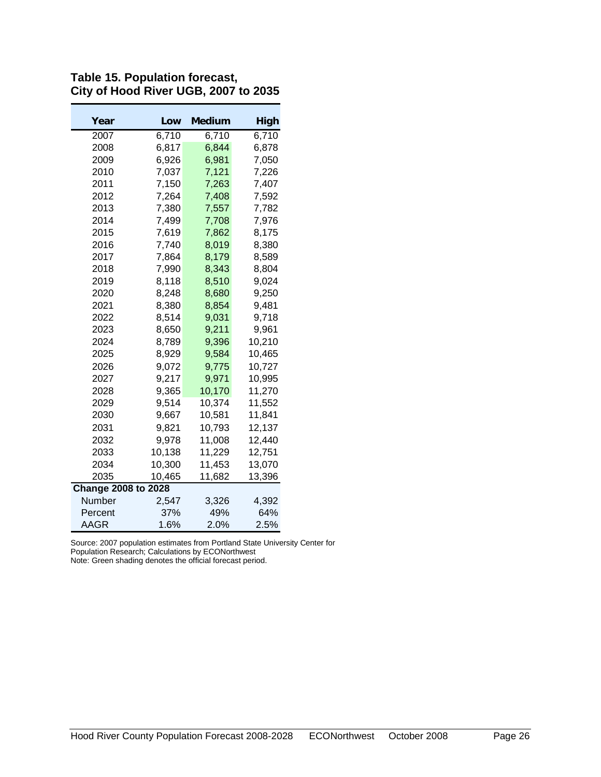| Year                       | Low    | Medium  | High   |
|----------------------------|--------|---------|--------|
| 2007                       | 6,710  | 6,710   | 6,710  |
| 2008                       | 6,817  | 6,844   | 6,878  |
| 2009                       | 6,926  | 6,981   | 7,050  |
| 2010                       | 7,037  | 7,121   | 7,226  |
| 2011                       | 7,150  | 7,263   | 7,407  |
| 2012                       | 7,264  | 7,408   | 7,592  |
| 2013                       | 7,380  | 7,557   | 7,782  |
| 2014                       | 7,499  | 7,708   | 7,976  |
| 2015                       | 7,619  | 7,862   | 8,175  |
| 2016                       | 7,740  | 8,019   | 8,380  |
| 2017                       | 7,864  | 8.179   | 8,589  |
| 2018                       | 7,990  | 8.343   | 8.804  |
| 2019                       | 8,118  | 8,510   | 9.024  |
| 2020                       | 8,248  | 8,680   | 9.250  |
| 2021                       | 8,380  | 8.854   | 9,481  |
| 2022                       | 8,514  | 9,031   | 9,718  |
| 2023                       | 8,650  | 9,211   | 9.961  |
| 2024                       | 8,789  | 9,396   | 10,210 |
| 2025                       | 8,929  | 9,584   | 10,465 |
| 2026                       | 9,072  | 9,775   | 10,727 |
| 2027                       | 9,217  | 9,971   | 10,995 |
| 2028                       | 9,365  | 10,170  | 11,270 |
| 2029                       | 9,514  | 10,374  | 11,552 |
| 2030                       | 9,667  | 10,581  | 11,841 |
| 2031                       | 9,821  | 10,793  | 12,137 |
| 2032                       | 9,978  | 11,008  | 12,440 |
| 2033                       | 10,138 | 11,229  | 12,751 |
| 2034                       | 10,300 | 11,453  | 13,070 |
| 2035                       | 10,465 | 11,682  | 13,396 |
| <b>Change 2008 to 2028</b> |        |         |        |
| Number                     | 2,547  | 3,326   | 4,392  |
| Percent                    | 37%    | 49%     | 64%    |
| AAGR                       | 1.6%   | $2.0\%$ | 2.5%   |

**Table 15. Population forecast, City of Hood River UGB, 2007 to 2035**

Source: 2007 population estimates from Portland State University Center for Population Research; Calculations by ECONorthwest

Note: Green shading denotes the official forecast period.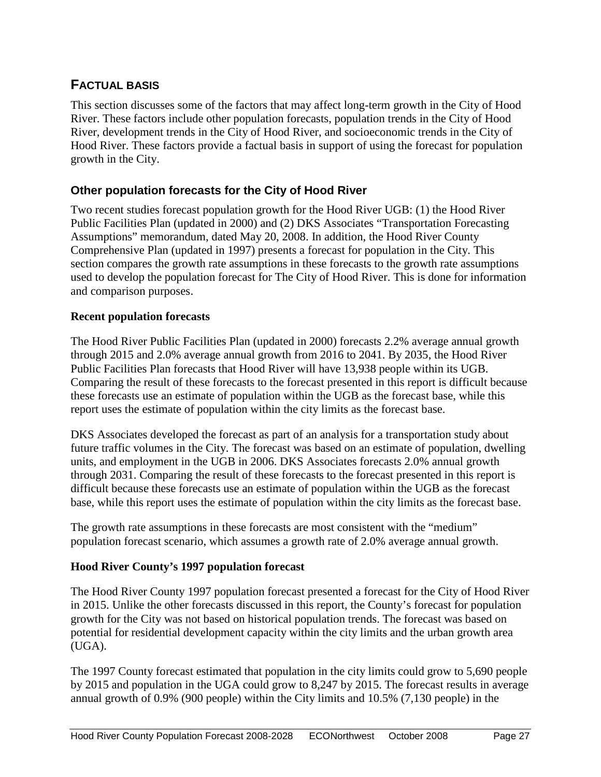# <span id="page-29-0"></span>**FACTUAL BASIS**

This section discusses some of the factors that may affect long-term growth in the City of Hood River. These factors include other population forecasts, population trends in the City of Hood River, development trends in the City of Hood River, and socioeconomic trends in the City of Hood River. These factors provide a factual basis in support of using the forecast for population growth in the City.

# **Other population forecasts for the City of Hood River**

Two recent studies forecast population growth for the Hood River UGB: (1) the Hood River Public Facilities Plan (updated in 2000) and (2) DKS Associates "Transportation Forecasting Assumptions" memorandum, dated May 20, 2008. In addition, the Hood River County Comprehensive Plan (updated in 1997) presents a forecast for population in the City. This section compares the growth rate assumptions in these forecasts to the growth rate assumptions used to develop the population forecast for The City of Hood River. This is done for information and comparison purposes.

### **Recent population forecasts**

The Hood River Public Facilities Plan (updated in 2000) forecasts 2.2% average annual growth through 2015 and 2.0% average annual growth from 2016 to 2041. By 2035, the Hood River Public Facilities Plan forecasts that Hood River will have 13,938 people within its UGB. Comparing the result of these forecasts to the forecast presented in this report is difficult because these forecasts use an estimate of population within the UGB as the forecast base, while this report uses the estimate of population within the city limits as the forecast base.

DKS Associates developed the forecast as part of an analysis for a transportation study about future traffic volumes in the City. The forecast was based on an estimate of population, dwelling units, and employment in the UGB in 2006. DKS Associates forecasts 2.0% annual growth through 2031. Comparing the result of these forecasts to the forecast presented in this report is difficult because these forecasts use an estimate of population within the UGB as the forecast base, while this report uses the estimate of population within the city limits as the forecast base.

The growth rate assumptions in these forecasts are most consistent with the "medium" population forecast scenario, which assumes a growth rate of 2.0% average annual growth.

### **Hood River County's 1997 population forecast**

The Hood River County 1997 population forecast presented a forecast for the City of Hood River in 2015. Unlike the other forecasts discussed in this report, the County's forecast for population growth for the City was not based on historical population trends. The forecast was based on potential for residential development capacity within the city limits and the urban growth area (UGA).

The 1997 County forecast estimated that population in the city limits could grow to 5,690 people by 2015 and population in the UGA could grow to 8,247 by 2015. The forecast results in average annual growth of 0.9% (900 people) within the City limits and 10.5% (7,130 people) in the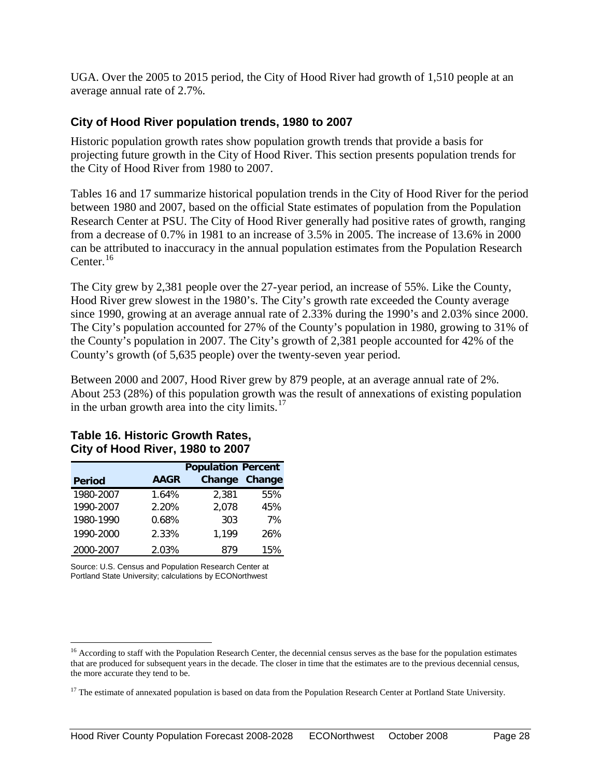UGA. Over the 2005 to 2015 period, the City of Hood River had growth of 1,510 people at an average annual rate of 2.7%.

#### **City of Hood River population trends, 1980 to 2007**

Historic population growth rates show population growth trends that provide a basis for projecting future growth in the City of Hood River. This section presents population trends for the City of Hood River from 1980 to 2007.

Tables 16 and 17 summarize historical population trends in the City of Hood River for the period between 1980 and 2007, based on the official State estimates of population from the Population Research Center at PSU. The City of Hood River generally had positive rates of growth, ranging from a decrease of 0.7% in 1981 to an increase of 3.5% in 2005. The increase of 13.6% in 2000 can be attributed to inaccuracy in the annual population estimates from the Population Research Center. $16$ 

The City grew by 2,381 people over the 27-year period, an increase of 55%. Like the County, Hood River grew slowest in the 1980's. The City's growth rate exceeded the County average since 1990, growing at an average annual rate of 2.33% during the 1990's and 2.03% since 2000. The City's population accounted for 27% of the County's population in 1980, growing to 31% of the County's population in 2007. The City's growth of 2,381 people accounted for 42% of the County's growth (of 5,635 people) over the twenty-seven year period.

Between 2000 and 2007, Hood River grew by 879 people, at an average annual rate of 2%. About 253 (28%) of this population growth was the result of annexations of existing population in the urban growth area into the city limits. $17$ 

|               |             | <b>Population Percent</b> |        |  |  |  |
|---------------|-------------|---------------------------|--------|--|--|--|
| <b>Period</b> | <b>AAGR</b> | Change                    | Change |  |  |  |
| 1980-2007     | 1.64%       | 2,381                     | 55%    |  |  |  |
| 1990-2007     | 2.20%       | 2,078                     | 45%    |  |  |  |
| 1980-1990     | 0.68%       | 303                       | 7%     |  |  |  |
| 1990-2000     | 2.33%       | 1,199                     | 26%    |  |  |  |
| 2000-2007     | 2.03%       | 879                       | 15%    |  |  |  |

#### **Table 16. Historic Growth Rates, City of Hood River, 1980 to 2007**

Source: U.S. Census and Population Research Center at Portland State University; calculations by ECONorthwest

<span id="page-30-0"></span><sup>&</sup>lt;sup>16</sup> According to staff with the Population Research Center, the decennial census serves as the base for the population estimates that are produced for subsequent years in the decade. The closer in time that the estimates are to the previous decennial census, the more accurate they tend to be.

<span id="page-30-1"></span><sup>&</sup>lt;sup>17</sup> The estimate of annexated population is based on data from the Population Research Center at Portland State University.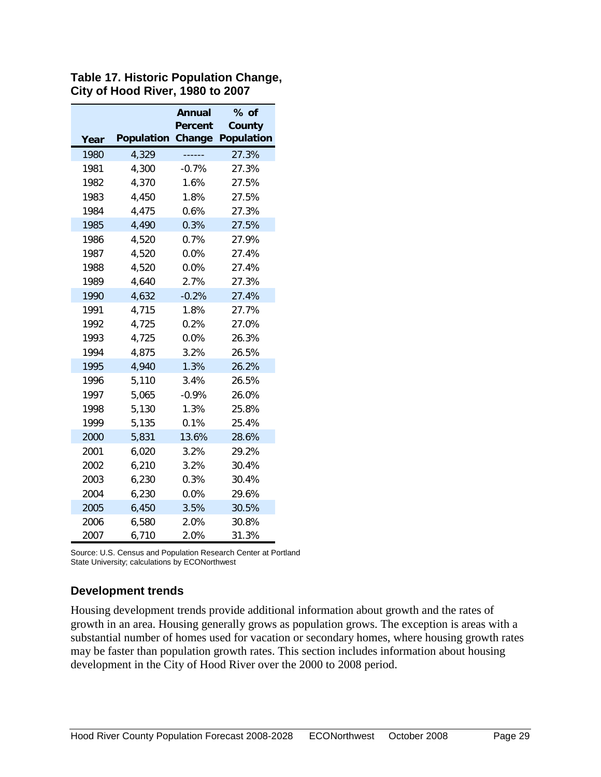|      |                   | Annual         | % of              |
|------|-------------------|----------------|-------------------|
|      |                   | <b>Percent</b> | County            |
| Year | <b>Population</b> | Change         | <b>Population</b> |
| 1980 | 4,329             |                | 27.3%             |
| 1981 | 4,300             | $-0.7%$        | 27.3%             |
| 1982 | 4,370             | 1.6%           | 27.5%             |
| 1983 | 4,450             | 1.8%           | 27.5%             |
| 1984 | 4,475             | 0.6%           | 27.3%             |
| 1985 | 4,490             | 0.3%           | 27.5%             |
| 1986 | 4,520             | 0.7%           | 27.9%             |
| 1987 | 4,520             | 0.0%           | 27.4%             |
| 1988 | 4,520             | 0.0%           | 27.4%             |
| 1989 | 4,640             | 2.7%           | 27.3%             |
| 1990 | 4,632             | $-0.2%$        | 27.4%             |
| 1991 | 4,715             | 1.8%           | 27.7%             |
| 1992 | 4,725             | 0.2%           | 27.0%             |
| 1993 | 4,725             | 0.0%           | 26.3%             |
| 1994 | 4,875             | 3.2%           | 26.5%             |
| 1995 | 4,940             | 1.3%           | 26.2%             |
| 1996 | 5,110             | 3.4%           | 26.5%             |
| 1997 | 5,065             | $-0.9%$        | 26.0%             |
| 1998 | 5,130             | 1.3%           | 25.8%             |
| 1999 | 5,135             | 0.1%           | 25.4%             |
| 2000 | 5,831             | 13.6%          | 28.6%             |
| 2001 | 6,020             | 3.2%           | 29.2%             |
| 2002 | 6,210             | 3.2%           | 30.4%             |
| 2003 | 6,230             | 0.3%           | 30.4%             |
| 2004 | 6,230             | $0.0\%$        | 29.6%             |
| 2005 | 6,450             | 3.5%           | 30.5%             |
| 2006 | 6,580             | 2.0%           | 30.8%             |
| 2007 | 6,710             | 2.0%           | 31.3%             |

**Table 17. Historic Population Change, City of Hood River, 1980 to 2007**

Source: U.S. Census and Population Research Center at Portland State University; calculations by ECONorthwest

#### **Development trends**

Housing development trends provide additional information about growth and the rates of growth in an area. Housing generally grows as population grows. The exception is areas with a substantial number of homes used for vacation or secondary homes, where housing growth rates may be faster than population growth rates. This section includes information about housing development in the City of Hood River over the 2000 to 2008 period.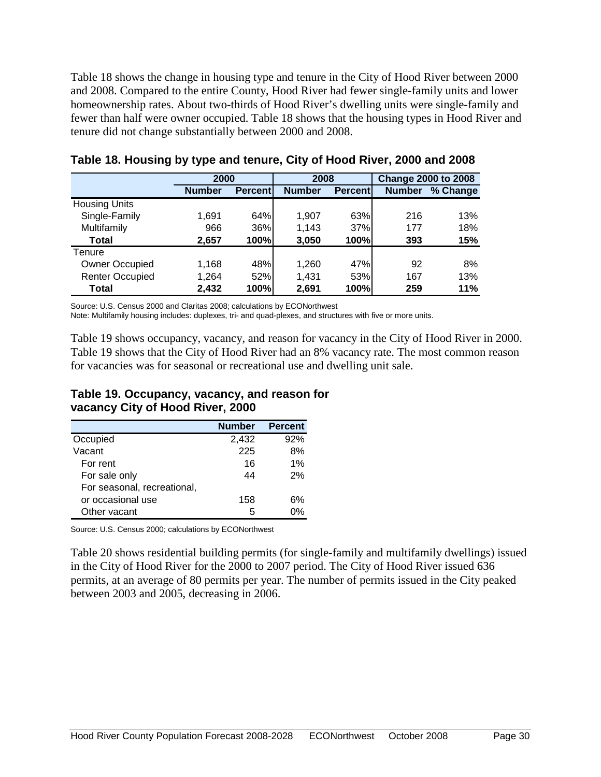Table 18 shows the change in housing type and tenure in the City of Hood River between 2000 and 2008. Compared to the entire County, Hood River had fewer single-family units and lower homeownership rates. About two-thirds of Hood River's dwelling units were single-family and fewer than half were owner occupied. Table 18 shows that the housing types in Hood River and tenure did not change substantially between 2000 and 2008.

|                        |               | 2000            |               | 2008            | <b>Change 2000 to 2008</b> |          |
|------------------------|---------------|-----------------|---------------|-----------------|----------------------------|----------|
|                        | <b>Number</b> | <b>Percentl</b> | <b>Number</b> | <b>Percentl</b> | <b>Number</b>              | % Change |
| <b>Housing Units</b>   |               |                 |               |                 |                            |          |
| Single-Family          | 1,691         | 64%l            | 1,907         | 63%             | 216                        | 13%      |
| Multifamily            | 966           | 36%             | 1,143         | 37%             | 177                        | 18%      |
| Total                  | 2,657         | 100%            | 3,050         | 100%            | 393                        | 15%      |
| Tenure                 |               |                 |               |                 |                            |          |
| <b>Owner Occupied</b>  | 1,168         | 48%             | 1,260         | 47%             | 92                         | 8%       |
| <b>Renter Occupied</b> | 1,264         | 52%             | 1,431         | 53%             | 167                        | 13%      |
| Total                  | 2.432         | 100%            | 2.691         | 100%            | 259                        | 11%      |

#### **Table 18. Housing by type and tenure, City of Hood River, 2000 and 2008**

Source: U.S. Census 2000 and Claritas 2008; calculations by ECONorthwest

Note: Multifamily housing includes: duplexes, tri- and quad-plexes, and structures with five or more units.

Table 19 shows occupancy, vacancy, and reason for vacancy in the City of Hood River in 2000. Table 19 shows that the City of Hood River had an 8% vacancy rate. The most common reason for vacancies was for seasonal or recreational use and dwelling unit sale.

#### **Table 19. Occupancy, vacancy, and reason for vacancy City of Hood River, 2000**

|                             | <b>Number</b> | <b>Percent</b> |
|-----------------------------|---------------|----------------|
| Occupied                    | 2,432         | 92%            |
| Vacant                      | 225           | 8%             |
| For rent                    | 16            | 1%             |
| For sale only               | 44            | 2%             |
| For seasonal, recreational, |               |                |
| or occasional use           | 158           | 6%             |
| Other vacant                | 5             | በ%             |

Source: U.S. Census 2000; calculations by ECONorthwest

Table 20 shows residential building permits (for single-family and multifamily dwellings) issued in the City of Hood River for the 2000 to 2007 period. The City of Hood River issued 636 permits, at an average of 80 permits per year. The number of permits issued in the City peaked between 2003 and 2005, decreasing in 2006.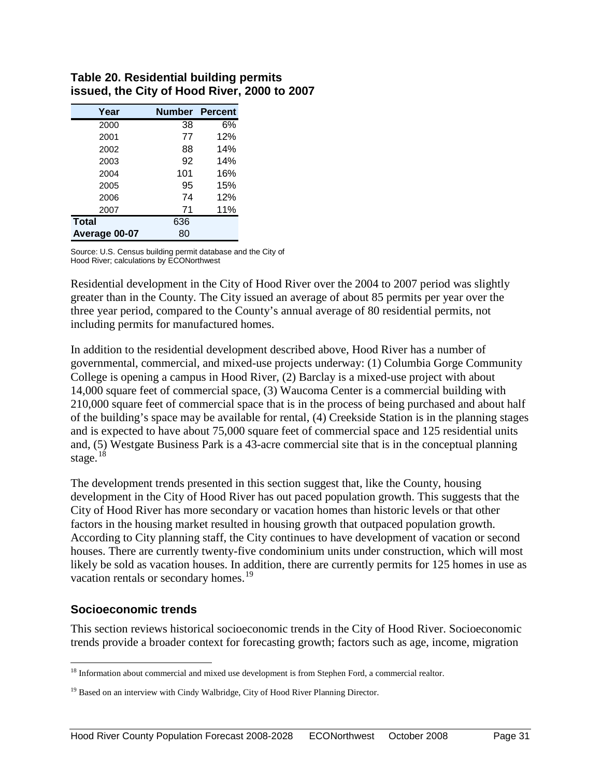| Year          | <b>Number Percent</b> |     |
|---------------|-----------------------|-----|
| 2000          | 38                    | 6%  |
| 2001          | 77                    | 12% |
| 2002          | 88                    | 14% |
| 2003          | 92                    | 14% |
| 2004          | 101                   | 16% |
| 2005          | 95                    | 15% |
| 2006          | 74                    | 12% |
| 2007          | 71                    | 11% |
| <b>Total</b>  | 636                   |     |
| Average 00-07 | 80                    |     |

#### **Table 20. Residential building permits issued, the City of Hood River, 2000 to 2007**

Source: U.S. Census building permit database and the City of Hood River; calculations by ECONorthwest

Residential development in the City of Hood River over the 2004 to 2007 period was slightly greater than in the County. The City issued an average of about 85 permits per year over the three year period, compared to the County's annual average of 80 residential permits, not including permits for manufactured homes.

In addition to the residential development described above, Hood River has a number of governmental, commercial, and mixed-use projects underway: (1) Columbia Gorge Community College is opening a campus in Hood River, (2) Barclay is a mixed-use project with about 14,000 square feet of commercial space, (3) Waucoma Center is a commercial building with 210,000 square feet of commercial space that is in the process of being purchased and about half of the building's space may be available for rental, (4) Creekside Station is in the planning stages and is expected to have about 75,000 square feet of commercial space and 125 residential units and, (5) Westgate Business Park is a 43-acre commercial site that is in the conceptual planning stage. $18$ 

The development trends presented in this section suggest that, like the County, housing development in the City of Hood River has out paced population growth. This suggests that the City of Hood River has more secondary or vacation homes than historic levels or that other factors in the housing market resulted in housing growth that outpaced population growth. According to City planning staff, the City continues to have development of vacation or second houses. There are currently twenty-five condominium units under construction, which will most likely be sold as vacation houses. In addition, there are currently permits for 125 homes in use as vacation rentals or secondary homes.<sup>[19](#page-33-1)</sup>

### **Socioeconomic trends**

This section reviews historical socioeconomic trends in the City of Hood River. Socioeconomic trends provide a broader context for forecasting growth; factors such as age, income, migration

<span id="page-33-0"></span><sup>&</sup>lt;sup>18</sup> Information about commercial and mixed use development is from Stephen Ford, a commercial realtor.

<span id="page-33-1"></span><sup>&</sup>lt;sup>19</sup> Based on an interview with Cindy Walbridge, City of Hood River Planning Director.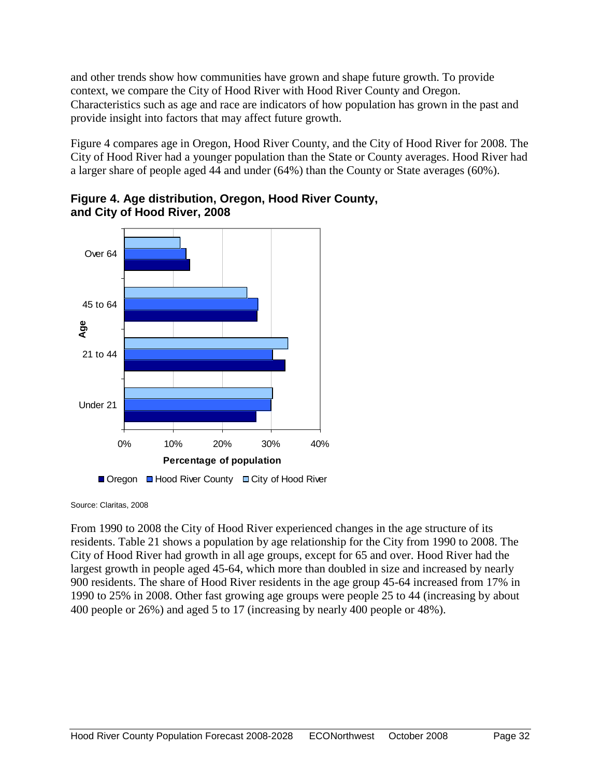and other trends show how communities have grown and shape future growth. To provide context, we compare the City of Hood River with Hood River County and Oregon. Characteristics such as age and race are indicators of how population has grown in the past and provide insight into factors that may affect future growth.

Figure 4 compares age in Oregon, Hood River County, and the City of Hood River for 2008. The City of Hood River had a younger population than the State or County averages. Hood River had a larger share of people aged 44 and under (64%) than the County or State averages (60%).



### **Figure 4. Age distribution, Oregon, Hood River County, and City of Hood River, 2008**

□ Oregon □ Hood River County □ City of Hood River

Source: Claritas, 2008

From 1990 to 2008 the City of Hood River experienced changes in the age structure of its residents. Table 21 shows a population by age relationship for the City from 1990 to 2008. The City of Hood River had growth in all age groups, except for 65 and over. Hood River had the largest growth in people aged 45-64, which more than doubled in size and increased by nearly 900 residents. The share of Hood River residents in the age group 45-64 increased from 17% in 1990 to 25% in 2008. Other fast growing age groups were people 25 to 44 (increasing by about 400 people or 26%) and aged 5 to 17 (increasing by nearly 400 people or 48%).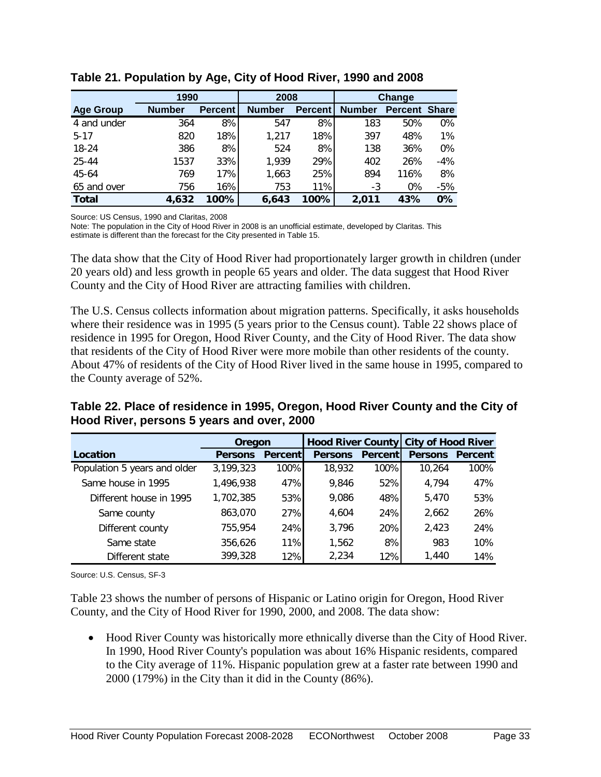|                  | 1990          |                |               | 2008           |               | Change         |              |
|------------------|---------------|----------------|---------------|----------------|---------------|----------------|--------------|
| <b>Age Group</b> | <b>Number</b> | <b>Percent</b> | <b>Number</b> | <b>Percent</b> | <b>Number</b> | <b>Percent</b> | <b>Share</b> |
| 4 and under      | 364           | 8%             | 547           | 8%             | 183           | 50%            | $0\%$        |
| $5 - 17$         | 820           | 18%            | 1.217         | 18%            | 397           | 48%            | 1%           |
| 18-24            | 386           | 8%             | 524           | 8%             | 138           | 36%            | $0\%$        |
| 25-44            | 1537          | 33%            | 1,939         | 29%            | 402           | 26%            | $-4%$        |
| 45-64            | 769           | 17%            | 1,663         | 25%            | 894           | 116%           | 8%           |
| 65 and over      | 756           | 16%            | 753           | 11%            | -3            | 0%             | $-5%$        |
| <b>Total</b>     | 4,632         | 100%           | 6,643         | 100%           | 2.011         | 43%            | $0\%$        |

**Table 21. Population by Age, City of Hood River, 1990 and 2008**

Source: US Census, 1990 and Claritas, 2008

Note: The population in the City of Hood River in 2008 is an unofficial estimate, developed by Claritas. This estimate is different than the forecast for the City presented in Table 15.

The data show that the City of Hood River had proportionately larger growth in children (under 20 years old) and less growth in people 65 years and older. The data suggest that Hood River County and the City of Hood River are attracting families with children.

The U.S. Census collects information about migration patterns. Specifically, it asks households where their residence was in 1995 (5 years prior to the Census count). Table 22 shows place of residence in 1995 for Oregon, Hood River County, and the City of Hood River. The data show that residents of the City of Hood River were more mobile than other residents of the county. About 47% of residents of the City of Hood River lived in the same house in 1995, compared to the County average of 52%.

**Table 22. Place of residence in 1995, Oregon, Hood River County and the City of Hood River, persons 5 years and over, 2000**

|                              | Oregon         |                 | Hood River County City of Hood River |                |                |                |
|------------------------------|----------------|-----------------|--------------------------------------|----------------|----------------|----------------|
| Location                     | <b>Persons</b> | <b>Percentl</b> | <b>Persons</b>                       | <b>Percent</b> | <b>Persons</b> | <b>Percent</b> |
| Population 5 years and older | 3,199,323      | 100%            | 18,932                               | 100%           | 10,264         | 100%           |
| Same house in 1995           | 1,496,938      | 47%             | 9,846                                | 52%            | 4,794          | 47%            |
| Different house in 1995      | 1,702,385      | 53%             | 9,086                                | 48%            | 5,470          | 53%            |
| Same county                  | 863,070        | 27%             | 4.604                                | 24%            | 2,662          | 26%            |
| Different county             | 755,954        | 24%             | 3,796                                | 20%            | 2,423          | 24%            |
| Same state                   | 356,626        | 11%             | 1,562                                | 8%             | 983            | 10%            |
| Different state              | 399,328        | 12%             | 2.234                                | 12%            | 1.440          | 14%            |

Source: U.S. Census, SF-3

Table 23 shows the number of persons of Hispanic or Latino origin for Oregon, Hood River County, and the City of Hood River for 1990, 2000, and 2008. The data show:

• Hood River County was historically more ethnically diverse than the City of Hood River. In 1990, Hood River County's population was about 16% Hispanic residents, compared to the City average of 11%. Hispanic population grew at a faster rate between 1990 and 2000 (179%) in the City than it did in the County (86%).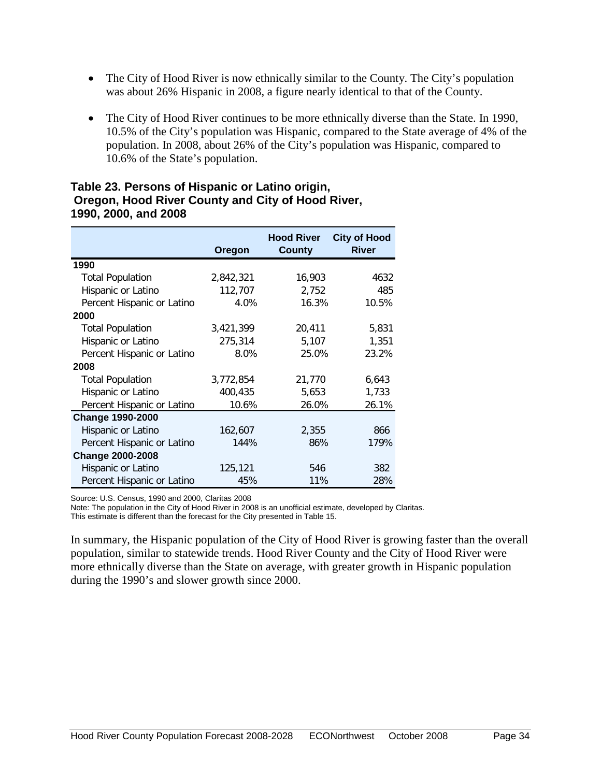- The City of Hood River is now ethnically similar to the County. The City's population was about 26% Hispanic in 2008, a figure nearly identical to that of the County.
- The City of Hood River continues to be more ethnically diverse than the State. In 1990, 10.5% of the City's population was Hispanic, compared to the State average of 4% of the population. In 2008, about 26% of the City's population was Hispanic, compared to 10.6% of the State's population.

#### **Table 23. Persons of Hispanic or Latino origin, Oregon, Hood River County and City of Hood River, 1990, 2000, and 2008**

|                            | Oregon    | <b>Hood River</b><br><b>County</b> | <b>City of Hood</b><br><b>River</b> |
|----------------------------|-----------|------------------------------------|-------------------------------------|
| 1990                       |           |                                    |                                     |
| <b>Total Population</b>    | 2,842,321 | 16,903                             | 4632                                |
| Hispanic or Latino         | 112,707   | 2,752                              | 485                                 |
| Percent Hispanic or Latino | 4.0%      | 16.3%                              | 10.5%                               |
| 2000                       |           |                                    |                                     |
| <b>Total Population</b>    | 3,421,399 | 20,411                             | 5,831                               |
| Hispanic or Latino         | 275,314   | 5,107                              | 1,351                               |
| Percent Hispanic or Latino | 8.0%      | 25.0%                              | 23.2%                               |
| 2008                       |           |                                    |                                     |
| <b>Total Population</b>    | 3,772,854 | 21,770                             | 6,643                               |
| Hispanic or Latino         | 400,435   | 5,653                              | 1,733                               |
| Percent Hispanic or Latino | 10.6%     | 26.0%                              | 26.1%                               |
| <b>Change 1990-2000</b>    |           |                                    |                                     |
| Hispanic or Latino         | 162,607   | 2,355                              | 866                                 |
| Percent Hispanic or Latino | 144%      | 86%                                | 179%                                |
| <b>Change 2000-2008</b>    |           |                                    |                                     |
| Hispanic or Latino         | 125,121   | 546                                | 382                                 |
| Percent Hispanic or Latino | 45%       | 11%                                | 28%                                 |

Source: U.S. Census, 1990 and 2000, Claritas 2008

Note: The population in the City of Hood River in 2008 is an unofficial estimate, developed by Claritas.

This estimate is different than the forecast for the City presented in Table 15.

In summary, the Hispanic population of the City of Hood River is growing faster than the overall population, similar to statewide trends. Hood River County and the City of Hood River were more ethnically diverse than the State on average, with greater growth in Hispanic population during the 1990's and slower growth since 2000.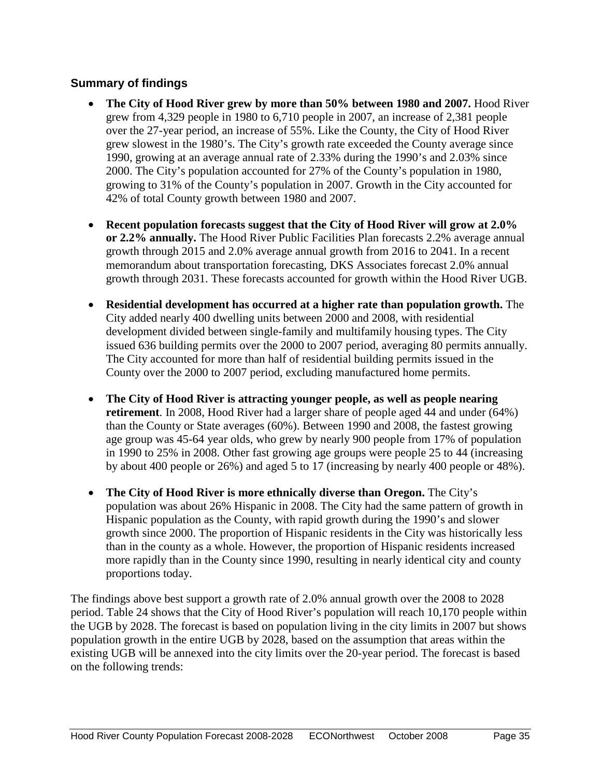# **Summary of findings**

- The City of Hood River grew by more than 50% between 1980 and 2007. Hood River grew from 4,329 people in 1980 to 6,710 people in 2007, an increase of 2,381 people over the 27-year period, an increase of 55%. Like the County, the City of Hood River grew slowest in the 1980's. The City's growth rate exceeded the County average since 1990, growing at an average annual rate of 2.33% during the 1990's and 2.03% since 2000. The City's population accounted for 27% of the County's population in 1980, growing to 31% of the County's population in 2007. Growth in the City accounted for 42% of total County growth between 1980 and 2007.
- **Recent population forecasts suggest that the City of Hood River will grow at 2.0% or 2.2% annually.** The Hood River Public Facilities Plan forecasts 2.2% average annual growth through 2015 and 2.0% average annual growth from 2016 to 2041. In a recent memorandum about transportation forecasting, DKS Associates forecast 2.0% annual growth through 2031. These forecasts accounted for growth within the Hood River UGB.
- **Residential development has occurred at a higher rate than population growth.** The City added nearly 400 dwelling units between 2000 and 2008, with residential development divided between single-family and multifamily housing types. The City issued 636 building permits over the 2000 to 2007 period, averaging 80 permits annually. The City accounted for more than half of residential building permits issued in the County over the 2000 to 2007 period, excluding manufactured home permits.
- **The City of Hood River is attracting younger people, as well as people nearing retirement**. In 2008, Hood River had a larger share of people aged 44 and under (64%) than the County or State averages (60%). Between 1990 and 2008, the fastest growing age group was 45-64 year olds, who grew by nearly 900 people from 17% of population in 1990 to 25% in 2008. Other fast growing age groups were people 25 to 44 (increasing by about 400 people or 26%) and aged 5 to 17 (increasing by nearly 400 people or 48%).
- **The City of Hood River is more ethnically diverse than Oregon.** The City's population was about 26% Hispanic in 2008. The City had the same pattern of growth in Hispanic population as the County, with rapid growth during the 1990's and slower growth since 2000. The proportion of Hispanic residents in the City was historically less than in the county as a whole. However, the proportion of Hispanic residents increased more rapidly than in the County since 1990, resulting in nearly identical city and county proportions today.

The findings above best support a growth rate of 2.0% annual growth over the 2008 to 2028 period. Table 24 shows that the City of Hood River's population will reach 10,170 people within the UGB by 2028. The forecast is based on population living in the city limits in 2007 but shows population growth in the entire UGB by 2028, based on the assumption that areas within the existing UGB will be annexed into the city limits over the 20-year period. The forecast is based on the following trends: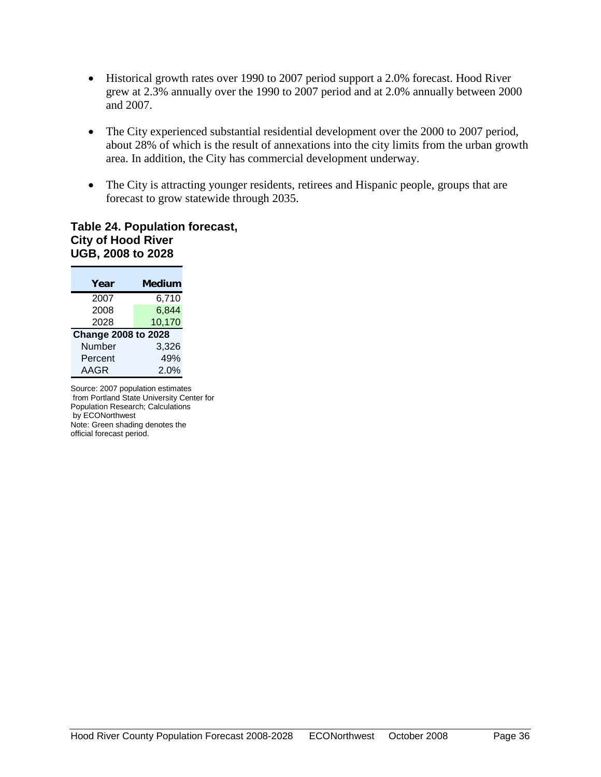- Historical growth rates over 1990 to 2007 period support a 2.0% forecast. Hood River grew at 2.3% annually over the 1990 to 2007 period and at 2.0% annually between 2000 and 2007.
- The City experienced substantial residential development over the 2000 to 2007 period, about 28% of which is the result of annexations into the city limits from the urban growth area. In addition, the City has commercial development underway.
- The City is attracting younger residents, retirees and Hispanic people, groups that are forecast to grow statewide through 2035.

#### **Table 24. Population forecast, City of Hood River UGB, 2008 to 2028**

| Year                       | Medium |
|----------------------------|--------|
| 2007                       | 6,710  |
| 2008                       | 6,844  |
| 2028                       | 10,170 |
| <b>Change 2008 to 2028</b> |        |
| Number                     | 3,326  |
| Percent                    | 49%    |
| AAGR                       | 2.0%   |

Source: 2007 population estimates from Portland State University Center for Population Research; Calculations by ECONorthwest Note: Green shading denotes the official forecast period.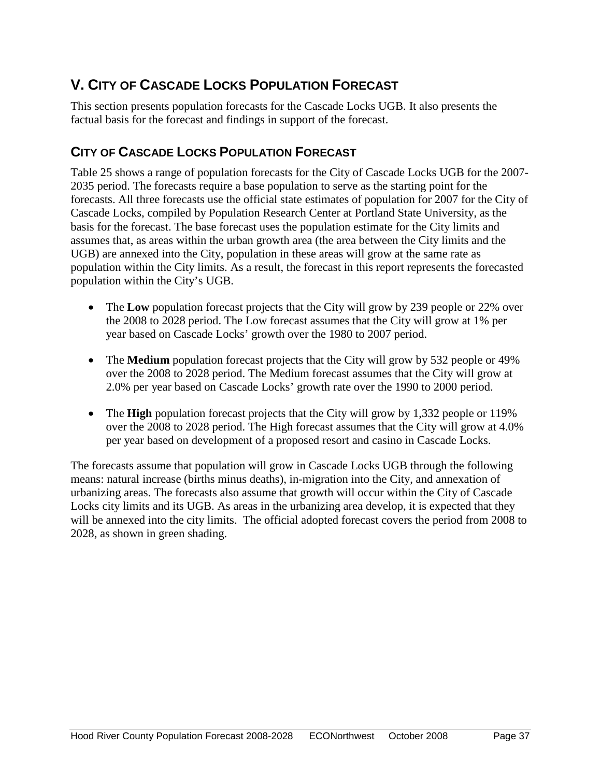# <span id="page-39-0"></span>**V. CITY OF CASCADE LOCKS POPULATION FORECAST**

This section presents population forecasts for the Cascade Locks UGB. It also presents the factual basis for the forecast and findings in support of the forecast.

# <span id="page-39-1"></span>**CITY OF CASCADE LOCKS POPULATION FORECAST**

Table 25 shows a range of population forecasts for the City of Cascade Locks UGB for the 2007- 2035 period. The forecasts require a base population to serve as the starting point for the forecasts. All three forecasts use the official state estimates of population for 2007 for the City of Cascade Locks, compiled by Population Research Center at Portland State University, as the basis for the forecast. The base forecast uses the population estimate for the City limits and assumes that, as areas within the urban growth area (the area between the City limits and the UGB) are annexed into the City, population in these areas will grow at the same rate as population within the City limits. As a result, the forecast in this report represents the forecasted population within the City's UGB.

- The **Low** population forecast projects that the City will grow by 239 people or 22% over the 2008 to 2028 period. The Low forecast assumes that the City will grow at 1% per year based on Cascade Locks' growth over the 1980 to 2007 period.
- The **Medium** population forecast projects that the City will grow by 532 people or 49% over the 2008 to 2028 period. The Medium forecast assumes that the City will grow at 2.0% per year based on Cascade Locks' growth rate over the 1990 to 2000 period.
- The **High** population forecast projects that the City will grow by 1,332 people or 119% over the 2008 to 2028 period. The High forecast assumes that the City will grow at 4.0% per year based on development of a proposed resort and casino in Cascade Locks.

The forecasts assume that population will grow in Cascade Locks UGB through the following means: natural increase (births minus deaths), in-migration into the City, and annexation of urbanizing areas. The forecasts also assume that growth will occur within the City of Cascade Locks city limits and its UGB. As areas in the urbanizing area develop, it is expected that they will be annexed into the city limits. The official adopted forecast covers the period from 2008 to 2028, as shown in green shading.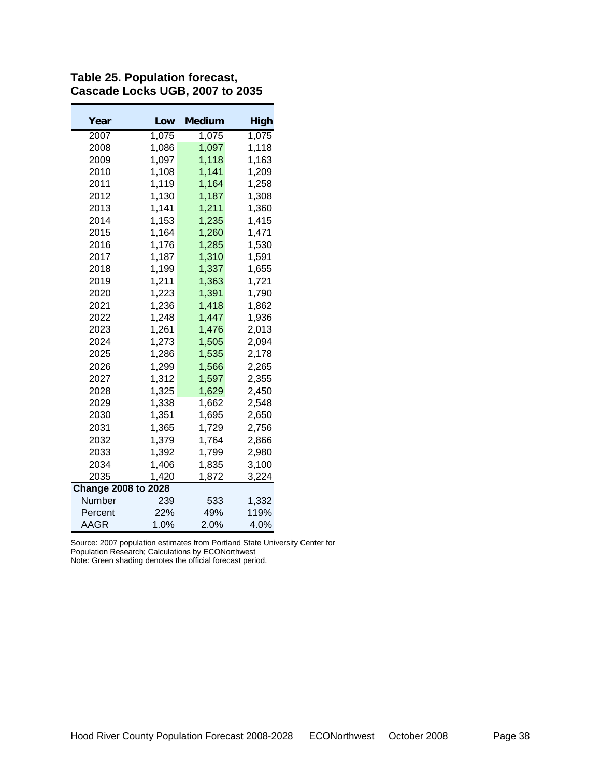| Year                       | Low   | Medium | High  |
|----------------------------|-------|--------|-------|
| 2007                       | 1,075 | 1,075  | 1,075 |
| 2008                       | 1,086 | 1,097  | 1,118 |
| 2009                       | 1,097 | 1,118  | 1,163 |
| 2010                       | 1,108 | 1,141  | 1,209 |
| 2011                       | 1,119 | 1,164  | 1,258 |
| 2012                       | 1,130 | 1,187  | 1,308 |
| 2013                       | 1,141 | 1,211  | 1,360 |
| 2014                       | 1,153 | 1,235  | 1,415 |
| 2015                       | 1,164 | 1,260  | 1,471 |
| 2016                       | 1,176 | 1,285  | 1,530 |
| 2017                       | 1,187 | 1,310  | 1,591 |
| 2018                       | 1,199 | 1,337  | 1,655 |
| 2019                       | 1,211 | 1,363  | 1,721 |
| 2020                       | 1,223 | 1,391  | 1,790 |
| 2021                       | 1,236 | 1,418  | 1,862 |
| 2022                       | 1,248 | 1,447  | 1,936 |
| 2023                       | 1,261 | 1,476  | 2,013 |
| 2024                       | 1,273 | 1,505  | 2,094 |
| 2025                       | 1,286 | 1,535  | 2,178 |
| 2026                       | 1,299 | 1,566  | 2,265 |
| 2027                       | 1,312 | 1,597  | 2,355 |
| 2028                       | 1,325 | 1,629  | 2,450 |
| 2029                       | 1,338 | 1,662  | 2,548 |
| 2030                       | 1,351 | 1,695  | 2,650 |
| 2031                       | 1,365 | 1,729  | 2,756 |
| 2032                       | 1,379 | 1,764  | 2,866 |
| 2033                       | 1,392 | 1,799  | 2,980 |
| 2034                       | 1,406 | 1,835  | 3,100 |
| 2035                       | 1,420 | 1,872  | 3,224 |
| <b>Change 2008 to 2028</b> |       |        |       |
| Number                     | 239   | 533    | 1,332 |
| Percent                    | 22%   | 49%    | 119%  |
| AAGR                       | 1.0%  | 2.0%   | 4.0%  |

**Table 25. Population forecast, Cascade Locks UGB, 2007 to 2035**

Source: 2007 population estimates from Portland State University Center for Population Research; Calculations by ECONorthwest

Note: Green shading denotes the official forecast period.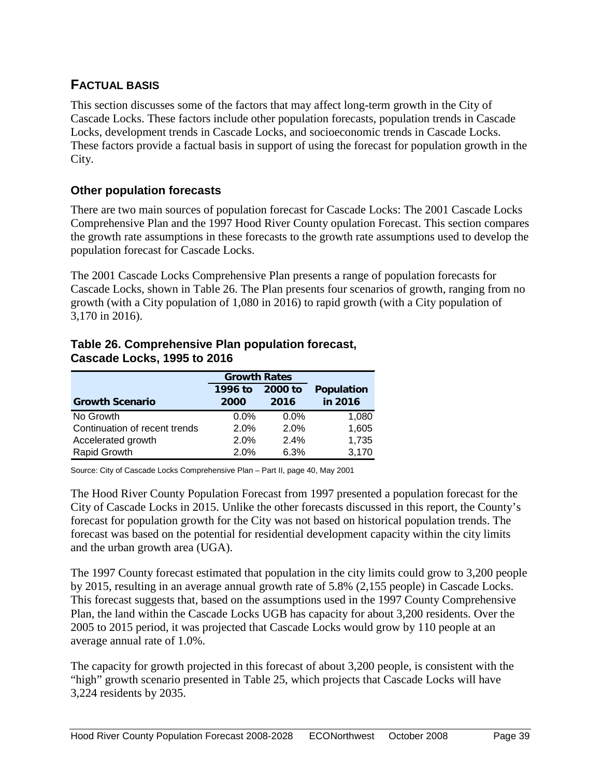# <span id="page-41-0"></span>**FACTUAL BASIS**

This section discusses some of the factors that may affect long-term growth in the City of Cascade Locks. These factors include other population forecasts, population trends in Cascade Locks, development trends in Cascade Locks, and socioeconomic trends in Cascade Locks. These factors provide a factual basis in support of using the forecast for population growth in the City.

# **Other population forecasts**

There are two main sources of population forecast for Cascade Locks: The 2001 Cascade Locks Comprehensive Plan and the 1997 Hood River County opulation Forecast. This section compares the growth rate assumptions in these forecasts to the growth rate assumptions used to develop the population forecast for Cascade Locks.

The 2001 Cascade Locks Comprehensive Plan presents a range of population forecasts for Cascade Locks, shown in Table 26. The Plan presents four scenarios of growth, ranging from no growth (with a City population of 1,080 in 2016) to rapid growth (with a City population of 3,170 in 2016).

### **Table 26. Comprehensive Plan population forecast, Cascade Locks, 1995 to 2016 Growth Rates**

|                               | <b>Growth Rates</b> |         |                   |
|-------------------------------|---------------------|---------|-------------------|
|                               | 1996 to             | 2000 to | <b>Population</b> |
| <b>Growth Scenario</b>        | 2000                | 2016    | in 2016           |
| No Growth                     | $0.0\%$             | $0.0\%$ | 1,080             |
| Continuation of recent trends | 2.0%                | 2.0%    | 1,605             |
| Accelerated growth            | 2.0%                | 2.4%    | 1,735             |
| Rapid Growth                  | 2.0%                | 6.3%    | 3,170             |

Source: City of Cascade Locks Comprehensive Plan – Part II, page 40, May 2001

The Hood River County Population Forecast from 1997 presented a population forecast for the City of Cascade Locks in 2015. Unlike the other forecasts discussed in this report, the County's forecast for population growth for the City was not based on historical population trends. The forecast was based on the potential for residential development capacity within the city limits and the urban growth area (UGA).

The 1997 County forecast estimated that population in the city limits could grow to 3,200 people by 2015, resulting in an average annual growth rate of 5.8% (2,155 people) in Cascade Locks. This forecast suggests that, based on the assumptions used in the 1997 County Comprehensive Plan, the land within the Cascade Locks UGB has capacity for about 3,200 residents. Over the 2005 to 2015 period, it was projected that Cascade Locks would grow by 110 people at an average annual rate of 1.0%.

The capacity for growth projected in this forecast of about 3,200 people, is consistent with the "high" growth scenario presented in Table 25, which projects that Cascade Locks will have 3,224 residents by 2035.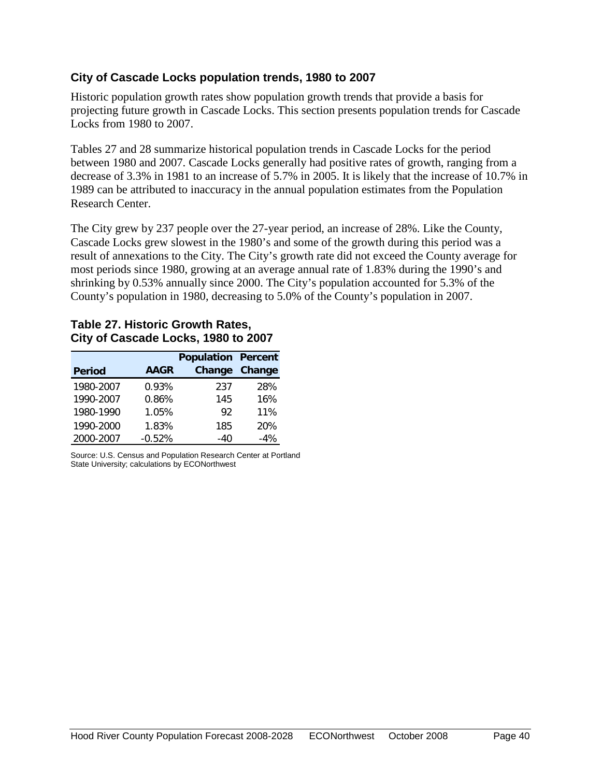#### **City of Cascade Locks population trends, 1980 to 2007**

Historic population growth rates show population growth trends that provide a basis for projecting future growth in Cascade Locks. This section presents population trends for Cascade Locks from 1980 to 2007.

Tables 27 and 28 summarize historical population trends in Cascade Locks for the period between 1980 and 2007. Cascade Locks generally had positive rates of growth, ranging from a decrease of 3.3% in 1981 to an increase of 5.7% in 2005. It is likely that the increase of 10.7% in 1989 can be attributed to inaccuracy in the annual population estimates from the Population Research Center.

The City grew by 237 people over the 27-year period, an increase of 28%. Like the County, Cascade Locks grew slowest in the 1980's and some of the growth during this period was a result of annexations to the City. The City's growth rate did not exceed the County average for most periods since 1980, growing at an average annual rate of 1.83% during the 1990's and shrinking by 0.53% annually since 2000. The City's population accounted for 5.3% of the County's population in 1980, decreasing to 5.0% of the County's population in 2007.

#### **Table 27. Historic Growth Rates, City of Cascade Locks, 1980 to 2007**

|               |             | <b>Population Percent</b> |        |
|---------------|-------------|---------------------------|--------|
| <b>Period</b> | <b>AAGR</b> | Change                    | Change |
| 1980-2007     | 0.93%       | 237                       | 28%    |
| 1990-2007     | 0.86%       | 145                       | 16%    |
| 1980-1990     | 1.05%       | 92                        | 11%    |
| 1990-2000     | 1.83%       | 185                       | 20%    |
| 2000-2007     | $-0.52%$    | $-40$                     | $-4%$  |

Source: U.S. Census and Population Research Center at Portland State University; calculations by ECONorthwest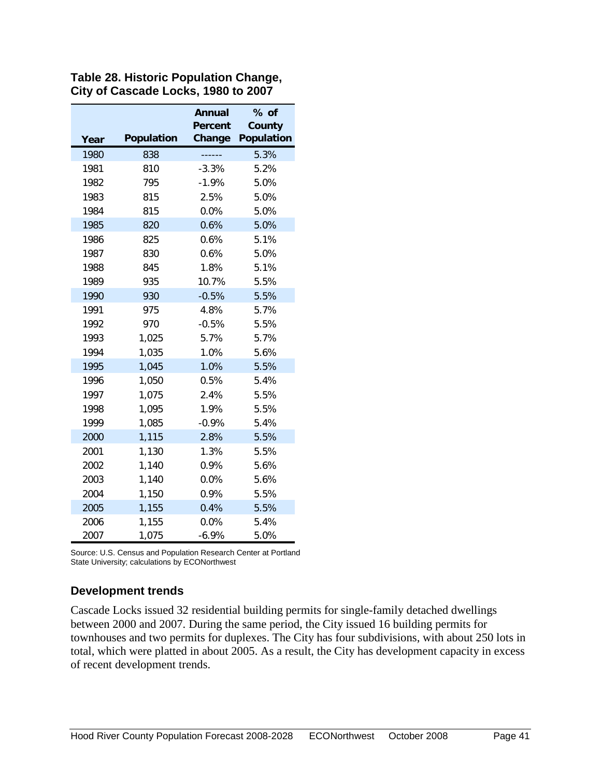|      |                   | <b>Annual</b><br>Percent | $%$ of<br>County  |
|------|-------------------|--------------------------|-------------------|
| Year | <b>Population</b> | Change                   | <b>Population</b> |
| 1980 | 838               | .                        | 5.3%              |
| 1981 | 810               | $-3.3%$                  | 5.2%              |
| 1982 | 795               | $-1.9%$                  | 5.0%              |
| 1983 | 815               | 2.5%                     | 5.0%              |
| 1984 | 815               | 0.0%                     | 5.0%              |
| 1985 | 820               | 0.6%                     | 5.0%              |
| 1986 | 825               | 0.6%                     | 5.1%              |
| 1987 | 830               | 0.6%                     | 5.0%              |
| 1988 | 845               | 1.8%                     | 5.1%              |
| 1989 | 935               | 10.7%                    | 5.5%              |
| 1990 | 930               | $-0.5%$                  | 5.5%              |
| 1991 | 975               | 4.8%                     | 5.7%              |
| 1992 | 970               | $-0.5%$                  | 5.5%              |
| 1993 | 1,025             | 5.7%                     | 5.7%              |
| 1994 | 1,035             | 1.0%                     | 5.6%              |
| 1995 | 1,045             | 1.0%                     | 5.5%              |
| 1996 | 1,050             | 0.5%                     | 5.4%              |
| 1997 | 1,075             | 2.4%                     | 5.5%              |
| 1998 | 1,095             | 1.9%                     | 5.5%              |
| 1999 | 1,085             | $-0.9%$                  | 5.4%              |
| 2000 | 1,115             | 2.8%                     | 5.5%              |
| 2001 | 1,130             | 1.3%                     | 5.5%              |
| 2002 | 1,140             | 0.9%                     | 5.6%              |
| 2003 | 1,140             | 0.0%                     | 5.6%              |
| 2004 | 1,150             | 0.9%                     | 5.5%              |
| 2005 | 1,155             | 0.4%                     | 5.5%              |
| 2006 | 1,155             | 0.0%                     | 5.4%              |
| 2007 | 1,075             | $-6.9%$                  | 5.0%              |

**Table 28. Historic Population Change, City of Cascade Locks, 1980 to 2007**

Source: U.S. Census and Population Research Center at Portland State University; calculations by ECONorthwest

### **Development trends**

Cascade Locks issued 32 residential building permits for single-family detached dwellings between 2000 and 2007. During the same period, the City issued 16 building permits for townhouses and two permits for duplexes. The City has four subdivisions, with about 250 lots in total, which were platted in about 2005. As a result, the City has development capacity in excess of recent development trends.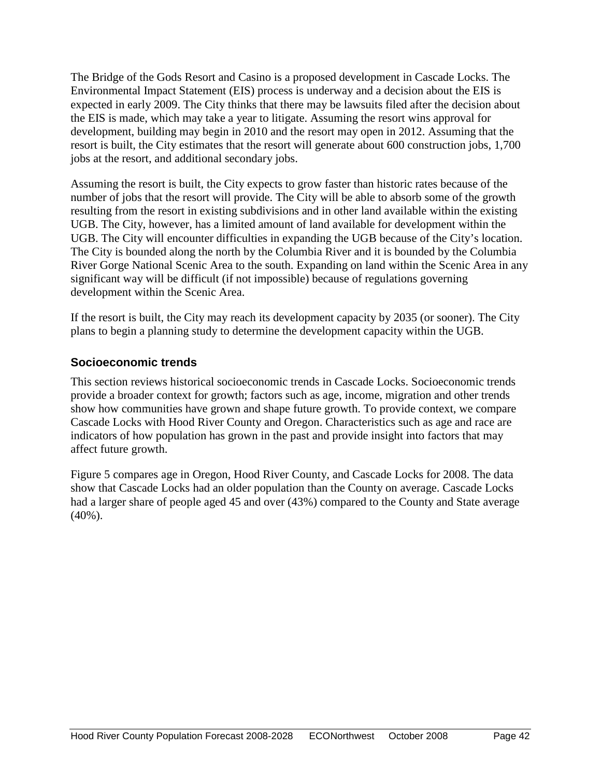The Bridge of the Gods Resort and Casino is a proposed development in Cascade Locks. The Environmental Impact Statement (EIS) process is underway and a decision about the EIS is expected in early 2009. The City thinks that there may be lawsuits filed after the decision about the EIS is made, which may take a year to litigate. Assuming the resort wins approval for development, building may begin in 2010 and the resort may open in 2012. Assuming that the resort is built, the City estimates that the resort will generate about 600 construction jobs, 1,700 jobs at the resort, and additional secondary jobs.

Assuming the resort is built, the City expects to grow faster than historic rates because of the number of jobs that the resort will provide. The City will be able to absorb some of the growth resulting from the resort in existing subdivisions and in other land available within the existing UGB. The City, however, has a limited amount of land available for development within the UGB. The City will encounter difficulties in expanding the UGB because of the City's location. The City is bounded along the north by the Columbia River and it is bounded by the Columbia River Gorge National Scenic Area to the south. Expanding on land within the Scenic Area in any significant way will be difficult (if not impossible) because of regulations governing development within the Scenic Area.

If the resort is built, the City may reach its development capacity by 2035 (or sooner). The City plans to begin a planning study to determine the development capacity within the UGB.

# **Socioeconomic trends**

This section reviews historical socioeconomic trends in Cascade Locks. Socioeconomic trends provide a broader context for growth; factors such as age, income, migration and other trends show how communities have grown and shape future growth. To provide context, we compare Cascade Locks with Hood River County and Oregon. Characteristics such as age and race are indicators of how population has grown in the past and provide insight into factors that may affect future growth.

Figure 5 compares age in Oregon, Hood River County, and Cascade Locks for 2008. The data show that Cascade Locks had an older population than the County on average. Cascade Locks had a larger share of people aged 45 and over (43%) compared to the County and State average (40%).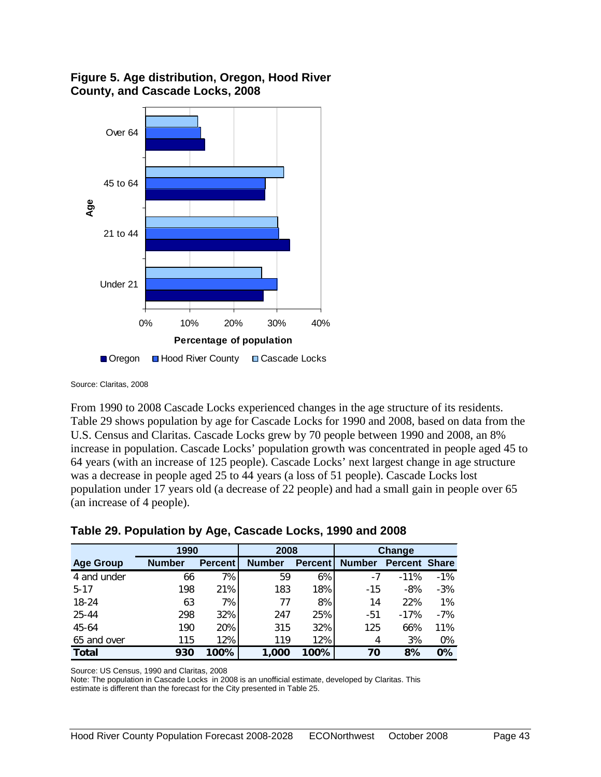

#### **Figure 5. Age distribution, Oregon, Hood River County, and Cascade Locks, 2008**

□ Oregon □ Hood River County □ Cascade Locks

Source: Claritas, 2008

From 1990 to 2008 Cascade Locks experienced changes in the age structure of its residents. Table 29 shows population by age for Cascade Locks for 1990 and 2008, based on data from the U.S. Census and Claritas. Cascade Locks grew by 70 people between 1990 and 2008, an 8% increase in population. Cascade Locks' population growth was concentrated in people aged 45 to 64 years (with an increase of 125 people). Cascade Locks' next largest change in age structure was a decrease in people aged 25 to 44 years (a loss of 51 people). Cascade Locks lost population under 17 years old (a decrease of 22 people) and had a small gain in people over 65 (an increase of 4 people).

| Table 29. Population by Age, Cascade Locks, 1990 and 2008 |  |  |
|-----------------------------------------------------------|--|--|
|-----------------------------------------------------------|--|--|

|                  |               | 1990           |               | 2008           |               | <b>Change</b>        |        |
|------------------|---------------|----------------|---------------|----------------|---------------|----------------------|--------|
| <b>Age Group</b> | <b>Number</b> | <b>Percent</b> | <b>Number</b> | <b>Percent</b> | <b>Number</b> | <b>Percent Share</b> |        |
| 4 and under      | 66            | 7%             | 59            | 6%             | $-7$          | $-11%$               | $-1\%$ |
| $5 - 17$         | 198           | 21%            | 183           | 18%            | $-15$         | $-8%$                | $-3%$  |
| $18 - 24$        | 63            | 7%             | 77            | 8%             | 14            | 22%                  | $1\%$  |
| 25-44            | 298           | 32%            | 247           | 25%            | $-51$         | $-17%$               | $-7%$  |
| 45-64            | 190           | 20%            | 315           | 32%            | 125           | 66%                  | 11%    |
| 65 and over      | 115           | 12%            | 119           | 12%            | 4             | 3%                   | 0%     |
| <b>Total</b>     | 930           | 100%           | 1,000         | 100%           | 70            | 8%                   | $0\%$  |

Source: US Census, 1990 and Claritas, 2008

Note: The population in Cascade Locks in 2008 is an unofficial estimate, developed by Claritas. This estimate is different than the forecast for the City presented in Table 25.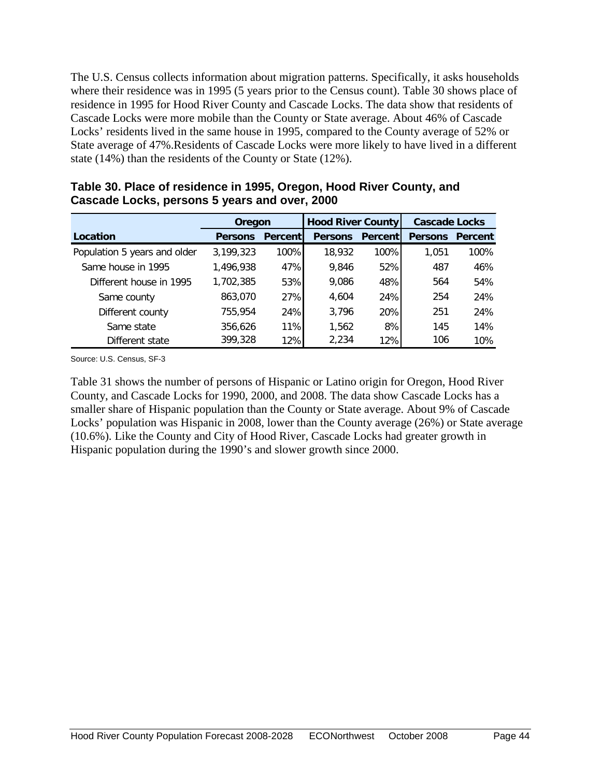The U.S. Census collects information about migration patterns. Specifically, it asks households where their residence was in 1995 (5 years prior to the Census count). Table 30 shows place of residence in 1995 for Hood River County and Cascade Locks. The data show that residents of Cascade Locks were more mobile than the County or State average. About 46% of Cascade Locks' residents lived in the same house in 1995, compared to the County average of 52% or State average of 47%.Residents of Cascade Locks were more likely to have lived in a different state (14%) than the residents of the County or State (12%).

|                              | Oregon         |                 | <b>Hood River County</b> |                | <b>Cascade Locks</b> |         |
|------------------------------|----------------|-----------------|--------------------------|----------------|----------------------|---------|
| Location                     | <b>Persons</b> | <b>Percentl</b> | <b>Persons</b>           | <b>Percent</b> | <b>Persons</b>       | Percent |
| Population 5 years and older | 3,199,323      | 100%            | 18,932                   | 100%           | 1,051                | 100%    |
| Same house in 1995           | 1,496,938      | 47%             | 9.846                    | 52%            | 487                  | 46%     |
| Different house in 1995      | 1,702,385      | 53%             | 9.086                    | 48%            | 564                  | 54%     |
| Same county                  | 863.070        | 27%             | 4.604                    | 24%            | 254                  | 24%     |
| Different county             | 755,954        | 24%             | 3.796                    | 20%            | 251                  | 24%     |
| Same state                   | 356,626        | 11%             | 1.562                    | 8%             | 145                  | 14%     |
| Different state              | 399,328        | 12%             | 2,234                    | 12%            | 106                  | 10%     |

**Table 30. Place of residence in 1995, Oregon, Hood River County, and Cascade Locks, persons 5 years and over, 2000**

Source: U.S. Census, SF-3

Table 31 shows the number of persons of Hispanic or Latino origin for Oregon, Hood River County, and Cascade Locks for 1990, 2000, and 2008. The data show Cascade Locks has a smaller share of Hispanic population than the County or State average. About 9% of Cascade Locks' population was Hispanic in 2008, lower than the County average (26%) or State average (10.6%). Like the County and City of Hood River, Cascade Locks had greater growth in Hispanic population during the 1990's and slower growth since 2000.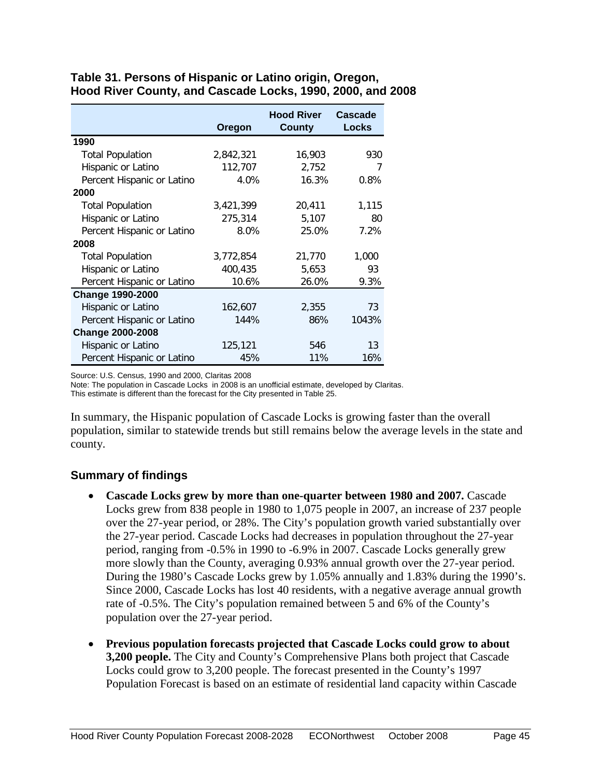|                            | Oregon    | <b>Hood River</b><br><b>County</b> | Cascade<br><b>Locks</b> |
|----------------------------|-----------|------------------------------------|-------------------------|
| 1990                       |           |                                    |                         |
| <b>Total Population</b>    | 2,842,321 | 16,903                             | 930                     |
| Hispanic or Latino         | 112,707   | 2,752                              | 7                       |
| Percent Hispanic or Latino | 4.0%      | 16.3%                              | 0.8%                    |
| 2000                       |           |                                    |                         |
| <b>Total Population</b>    | 3,421,399 | 20,411                             | 1,115                   |
| Hispanic or Latino         | 275,314   | 5,107                              | 80                      |
| Percent Hispanic or Latino | 8.0%      | 25.0%                              | 7.2%                    |
| 2008                       |           |                                    |                         |
| <b>Total Population</b>    | 3,772,854 | 21,770                             | 1,000                   |
| Hispanic or Latino         | 400,435   | 5,653                              | 93                      |
| Percent Hispanic or Latino | 10.6%     | 26.0%                              | 9.3%                    |
| <b>Change 1990-2000</b>    |           |                                    |                         |
| Hispanic or Latino         | 162,607   | 2,355                              | 73                      |
| Percent Hispanic or Latino | 144%      | 86%                                | 1043%                   |
| <b>Change 2000-2008</b>    |           |                                    |                         |
| Hispanic or Latino         | 125,121   | 546                                | 13                      |
| Percent Hispanic or Latino | 45%       | 11%                                | 16%                     |

#### **Table 31. Persons of Hispanic or Latino origin, Oregon, Hood River County, and Cascade Locks, 1990, 2000, and 2008**

Source: U.S. Census, 1990 and 2000, Claritas 2008

Note: The population in Cascade Locks in 2008 is an unofficial estimate, developed by Claritas. This estimate is different than the forecast for the City presented in Table 25.

In summary, the Hispanic population of Cascade Locks is growing faster than the overall population, similar to statewide trends but still remains below the average levels in the state and county.

### **Summary of findings**

- **Cascade Locks grew by more than one-quarter between 1980 and 2007.** Cascade Locks grew from 838 people in 1980 to 1,075 people in 2007, an increase of 237 people over the 27-year period, or 28%. The City's population growth varied substantially over the 27-year period. Cascade Locks had decreases in population throughout the 27-year period, ranging from -0.5% in 1990 to -6.9% in 2007. Cascade Locks generally grew more slowly than the County, averaging 0.93% annual growth over the 27-year period. During the 1980's Cascade Locks grew by 1.05% annually and 1.83% during the 1990's. Since 2000, Cascade Locks has lost 40 residents, with a negative average annual growth rate of -0.5%. The City's population remained between 5 and 6% of the County's population over the 27-year period.
- **Previous population forecasts projected that Cascade Locks could grow to about 3,200 people.** The City and County's Comprehensive Plans both project that Cascade Locks could grow to 3,200 people. The forecast presented in the County's 1997 Population Forecast is based on an estimate of residential land capacity within Cascade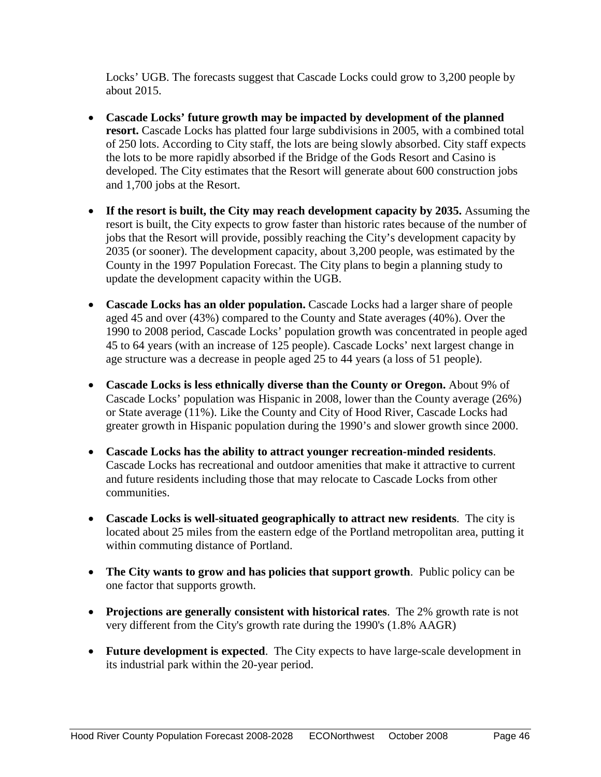Locks' UGB. The forecasts suggest that Cascade Locks could grow to 3,200 people by about 2015.

- **Cascade Locks' future growth may be impacted by development of the planned resort.** Cascade Locks has platted four large subdivisions in 2005, with a combined total of 250 lots. According to City staff, the lots are being slowly absorbed. City staff expects the lots to be more rapidly absorbed if the Bridge of the Gods Resort and Casino is developed. The City estimates that the Resort will generate about 600 construction jobs and 1,700 jobs at the Resort.
- **If the resort is built, the City may reach development capacity by 2035.** Assuming the resort is built, the City expects to grow faster than historic rates because of the number of jobs that the Resort will provide, possibly reaching the City's development capacity by 2035 (or sooner). The development capacity, about 3,200 people, was estimated by the County in the 1997 Population Forecast. The City plans to begin a planning study to update the development capacity within the UGB.
- **Cascade Locks has an older population.** Cascade Locks had a larger share of people aged 45 and over (43%) compared to the County and State averages (40%). Over the 1990 to 2008 period, Cascade Locks' population growth was concentrated in people aged 45 to 64 years (with an increase of 125 people). Cascade Locks' next largest change in age structure was a decrease in people aged 25 to 44 years (a loss of 51 people).
- **Cascade Locks is less ethnically diverse than the County or Oregon.** About 9% of Cascade Locks' population was Hispanic in 2008, lower than the County average (26%) or State average (11%). Like the County and City of Hood River, Cascade Locks had greater growth in Hispanic population during the 1990's and slower growth since 2000.
- **Cascade Locks has the ability to attract younger recreation-minded residents**. Cascade Locks has recreational and outdoor amenities that make it attractive to current and future residents including those that may relocate to Cascade Locks from other communities.
- **Cascade Locks is well-situated geographically to attract new residents**. The city is located about 25 miles from the eastern edge of the Portland metropolitan area, putting it within commuting distance of Portland.
- **The City wants to grow and has policies that support growth**. Public policy can be one factor that supports growth.
- **Projections are generally consistent with historical rates**. The 2% growth rate is not very different from the City's growth rate during the 1990's (1.8% AAGR)
- **Future development is expected**. The City expects to have large-scale development in its industrial park within the 20-year period.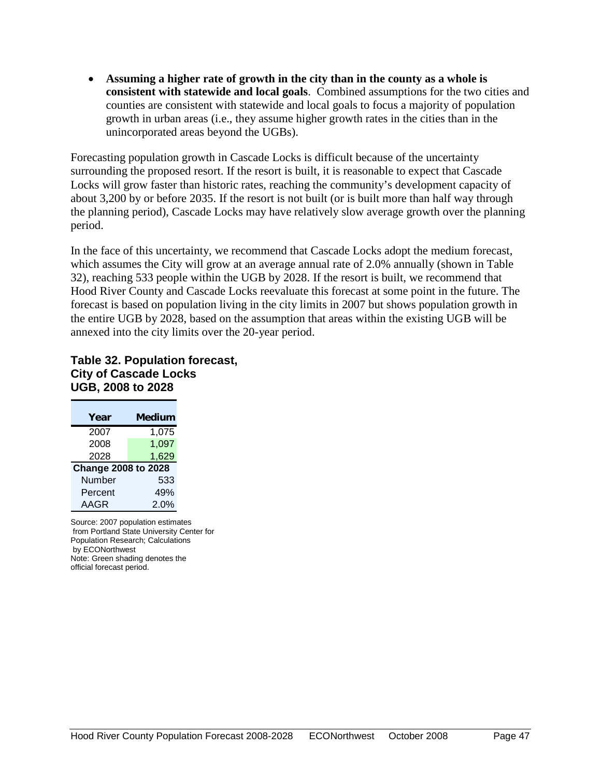• **Assuming a higher rate of growth in the city than in the county as a whole is consistent with statewide and local goals**. Combined assumptions for the two cities and counties are consistent with statewide and local goals to focus a majority of population growth in urban areas (i.e., they assume higher growth rates in the cities than in the unincorporated areas beyond the UGBs).

Forecasting population growth in Cascade Locks is difficult because of the uncertainty surrounding the proposed resort. If the resort is built, it is reasonable to expect that Cascade Locks will grow faster than historic rates, reaching the community's development capacity of about 3,200 by or before 2035. If the resort is not built (or is built more than half way through the planning period), Cascade Locks may have relatively slow average growth over the planning period.

In the face of this uncertainty, we recommend that Cascade Locks adopt the medium forecast, which assumes the City will grow at an average annual rate of 2.0% annually (shown in Table 32), reaching 533 people within the UGB by 2028. If the resort is built, we recommend that Hood River County and Cascade Locks reevaluate this forecast at some point in the future. The forecast is based on population living in the city limits in 2007 but shows population growth in the entire UGB by 2028, based on the assumption that areas within the existing UGB will be annexed into the city limits over the 20-year period.

#### **Table 32. Population forecast, City of Cascade Locks UGB, 2008 to 2028**

| Year                       | <b>Medium</b> |
|----------------------------|---------------|
| 2007                       | 1,075         |
| 2008                       | 1,097         |
| 2028                       | 1,629         |
| <b>Change 2008 to 2028</b> |               |
| Number                     | 533           |
| Percent                    | 49%           |
| AAGR                       | 2.0%          |

Source: 2007 population estimates from Portland State University Center for Population Research; Calculations by ECONorthwest Note: Green shading denotes the official forecast period.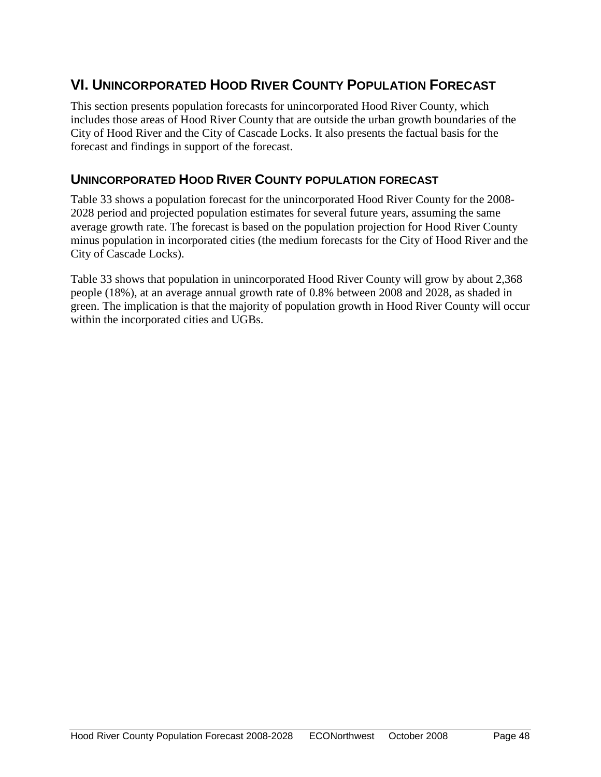# <span id="page-50-0"></span>**VI. UNINCORPORATED HOOD RIVER COUNTY POPULATION FORECAST**

This section presents population forecasts for unincorporated Hood River County, which includes those areas of Hood River County that are outside the urban growth boundaries of the City of Hood River and the City of Cascade Locks. It also presents the factual basis for the forecast and findings in support of the forecast.

# <span id="page-50-1"></span>**UNINCORPORATED HOOD RIVER COUNTY POPULATION FORECAST**

Table 33 shows a population forecast for the unincorporated Hood River County for the 2008- 2028 period and projected population estimates for several future years, assuming the same average growth rate. The forecast is based on the population projection for Hood River County minus population in incorporated cities (the medium forecasts for the City of Hood River and the City of Cascade Locks).

Table 33 shows that population in unincorporated Hood River County will grow by about 2,368 people (18%), at an average annual growth rate of 0.8% between 2008 and 2028, as shaded in green. The implication is that the majority of population growth in Hood River County will occur within the incorporated cities and UGBs.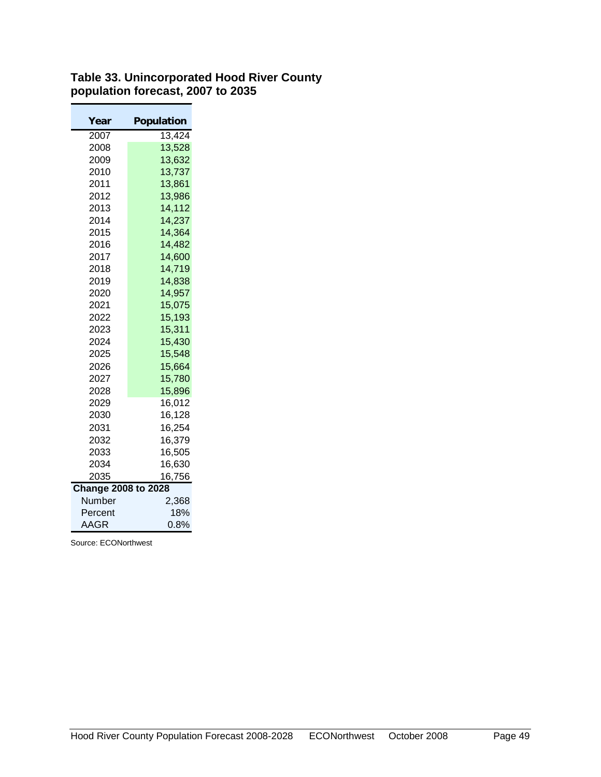#### **Table 33. Unincorporated Hood River County population forecast, 2007 to 2035**

| Year                       | <b>Population</b> |
|----------------------------|-------------------|
| 2007                       | 13,424            |
| 2008                       | 13,528            |
| 2009                       | 13,632            |
| 2010                       | 13,737            |
| 2011                       | 13,861            |
| 2012                       | 13,986            |
| 2013                       | 14,112            |
| 2014                       | 14,237            |
| 2015                       | 14,364            |
| 2016                       | 14,482            |
| 2017                       | 14,600            |
| 2018                       | 14,719            |
| 2019                       | 14,838            |
| 2020                       | 14,957            |
| 2021                       | 15,075            |
| 2022                       | 15,193            |
| 2023                       | 15,311            |
| 2024                       | 15,430            |
| 2025                       | 15,548            |
| 2026                       | 15,664            |
| 2027                       | 15,780            |
| 2028                       | 15,896            |
| 2029                       | 16,012            |
| 2030                       | 16,128            |
| 2031                       | 16,254            |
| 2032                       | 16,379            |
| 2033                       | 16,505            |
| 2034                       | 16,630            |
| 2035                       | 16,756            |
| <b>Change 2008 to 2028</b> |                   |
| Number                     | 2,368             |
| Percent                    | 18%               |
| AAGR                       | 0.8%              |

Source: ECONorthwest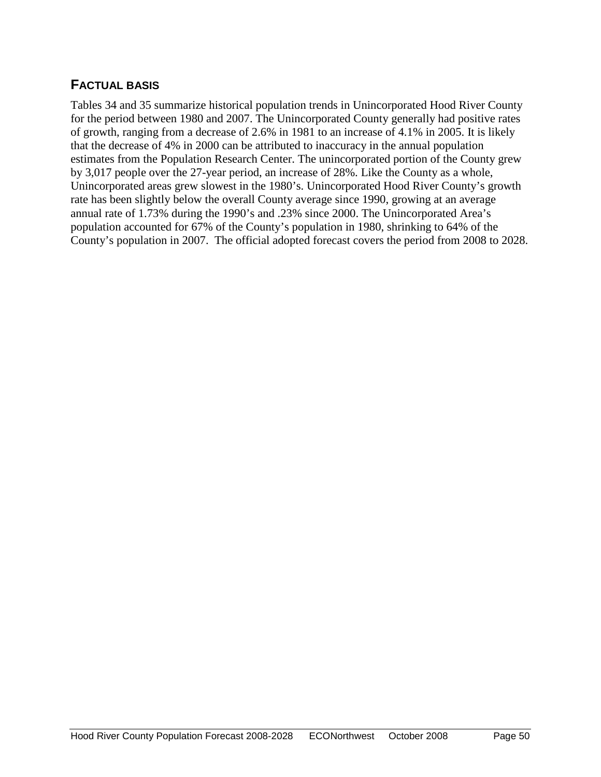# <span id="page-52-0"></span>**FACTUAL BASIS**

Tables 34 and 35 summarize historical population trends in Unincorporated Hood River County for the period between 1980 and 2007. The Unincorporated County generally had positive rates of growth, ranging from a decrease of 2.6% in 1981 to an increase of 4.1% in 2005. It is likely that the decrease of 4% in 2000 can be attributed to inaccuracy in the annual population estimates from the Population Research Center. The unincorporated portion of the County grew by 3,017 people over the 27-year period, an increase of 28%. Like the County as a whole, Unincorporated areas grew slowest in the 1980's. Unincorporated Hood River County's growth rate has been slightly below the overall County average since 1990, growing at an average annual rate of 1.73% during the 1990's and .23% since 2000. The Unincorporated Area's population accounted for 67% of the County's population in 1980, shrinking to 64% of the County's population in 2007. The official adopted forecast covers the period from 2008 to 2028.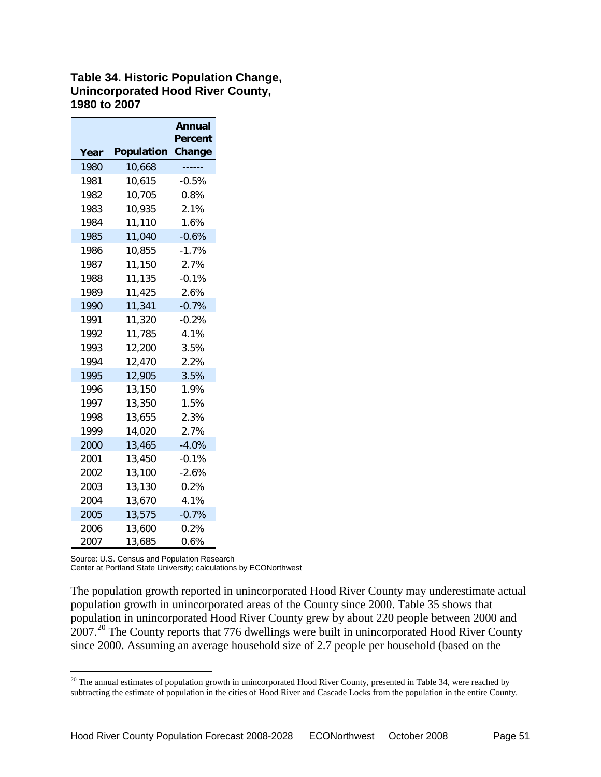#### **Table 34. Historic Population Change, Unincorporated Hood River County, 1980 to 2007**

|      |                   | Annual                   |
|------|-------------------|--------------------------|
| Year | <b>Population</b> | <b>Percent</b><br>Change |
| 1980 | 10,668            |                          |
| 1981 | 10,615            | $-0.5%$                  |
| 1982 | 10,705            | 0.8%                     |
| 1983 | 10,935            | 2.1%                     |
| 1984 | 11,110            | 1.6%                     |
| 1985 | 11,040            | $-0.6%$                  |
| 1986 | 10,855            | $-1.7%$                  |
| 1987 | 11,150            | 2.7%                     |
| 1988 | 11,135            | $-0.1%$                  |
| 1989 | 11,425            | 2.6%                     |
| 1990 | 11,341            | $-0.7%$                  |
| 1991 | 11,320            | $-0.2%$                  |
| 1992 | 11,785            | 4.1%                     |
| 1993 | 12,200            | 3.5%                     |
| 1994 | 12,470            | 2.2%                     |
| 1995 | 12,905            | 3.5%                     |
| 1996 | 13,150            | 1.9%                     |
| 1997 | 13,350            | 1.5%                     |
| 1998 | 13,655            | 2.3%                     |
| 1999 | 14,020            | 2.7%                     |
| 2000 | 13,465            | $-4.0%$                  |
| 2001 | 13,450            | $-0.1%$                  |
| 2002 | 13,100            | $-2.6%$                  |
| 2003 | 13,130            | 0.2%                     |
| 2004 | 13,670            | 4.1%                     |
| 2005 | 13,575            | $-0.7%$                  |
| 2006 | 13,600            | 0.2%                     |
| 2007 | 13,685            | 0.6%                     |

Source: U.S. Census and Population Research

Center at Portland State University; calculations by ECONorthwest

The population growth reported in unincorporated Hood River County may underestimate actual population growth in unincorporated areas of the County since 2000. Table 35 shows that population in unincorporated Hood River County grew by about 220 people between 2000 and 07.<sup>20</sup> The County reports that 776 dwellings were built in unincorporated Hood River County since 2000. Assuming an average household size of 2.7 people per household (based on the

<span id="page-53-0"></span> The annual estimates of population growth in unincorporated Hood River County, presented in Table 34, were reached by subtracting the estimate of population in the cities of Hood River and Cascade Locks from the population in the entire County.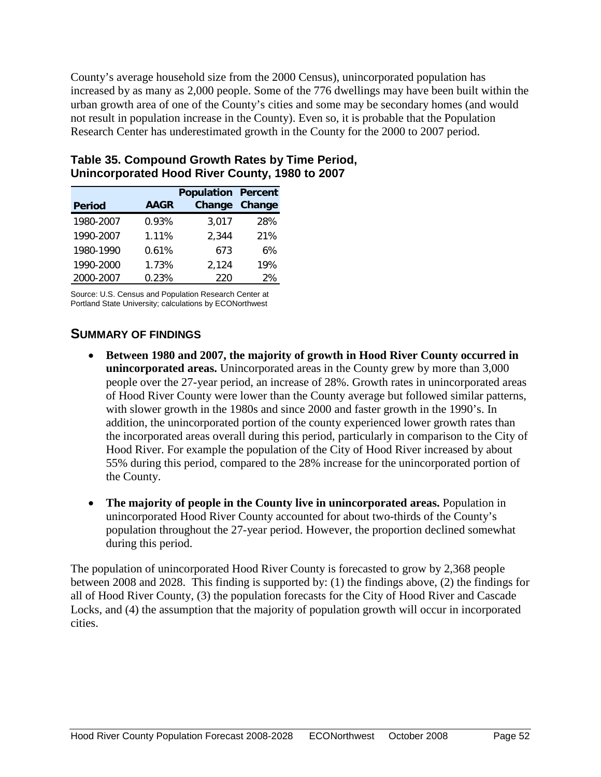County's average household size from the 2000 Census), unincorporated population has increased by as many as 2,000 people. Some of the 776 dwellings may have been built within the urban growth area of one of the County's cities and some may be secondary homes (and would not result in population increase in the County). Even so, it is probable that the Population Research Center has underestimated growth in the County for the 2000 to 2007 period.

|               |             | <b>Population Percent</b> |        |
|---------------|-------------|---------------------------|--------|
| <b>Period</b> | <b>AAGR</b> | Change                    | Change |
| 1980-2007     | 0.93%       | 3,017                     | 28%    |
| 1990-2007     | 1.11%       | 2,344                     | 21%    |
| 1980-1990     | 0.61%       | 673                       | 6%     |
| 1990-2000     | 1.73%       | 2,124                     | 19%    |
| 2000-2007     | 0.23%       | 220                       | 2%     |

#### **Table 35. Compound Growth Rates by Time Period, Unincorporated Hood River County, 1980 to 2007**

Source: U.S. Census and Population Research Center at Portland State University; calculations by ECONorthwest

# <span id="page-54-0"></span>**SUMMARY OF FINDINGS**

- **Between 1980 and 2007, the majority of growth in Hood River County occurred in unincorporated areas.** Unincorporated areas in the County grew by more than 3,000 people over the 27-year period, an increase of 28%. Growth rates in unincorporated areas of Hood River County were lower than the County average but followed similar patterns, with slower growth in the 1980s and since 2000 and faster growth in the 1990's. In addition, the unincorporated portion of the county experienced lower growth rates than the incorporated areas overall during this period, particularly in comparison to the City of Hood River. For example the population of the City of Hood River increased by about 55% during this period, compared to the 28% increase for the unincorporated portion of the County.
- **The majority of people in the County live in unincorporated areas.** Population in unincorporated Hood River County accounted for about two-thirds of the County's population throughout the 27-year period. However, the proportion declined somewhat during this period.

The population of unincorporated Hood River County is forecasted to grow by 2,368 people between 2008 and 2028. This finding is supported by: (1) the findings above, (2) the findings for all of Hood River County, (3) the population forecasts for the City of Hood River and Cascade Locks, and (4) the assumption that the majority of population growth will occur in incorporated cities.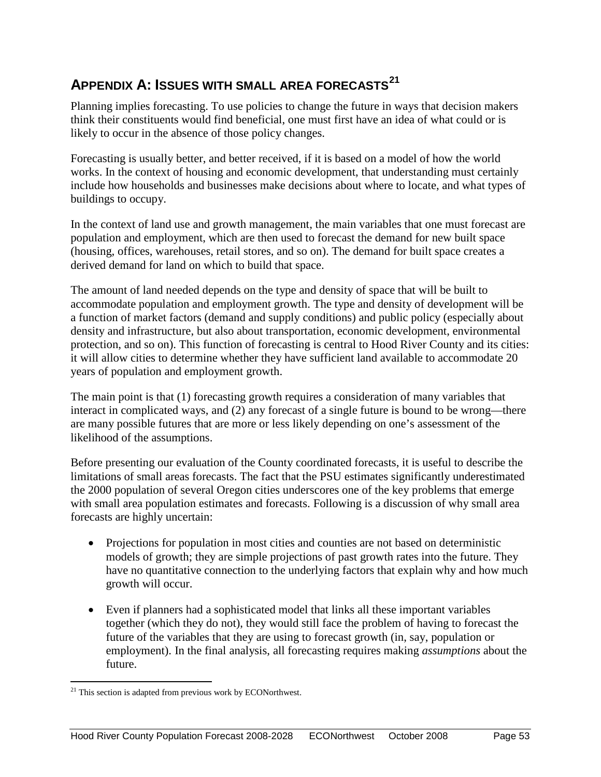# <span id="page-55-0"></span>**APPENDIX A: ISSUES WITH SMALL AREA FORECASTS[21](#page-55-1)**

Planning implies forecasting. To use policies to change the future in ways that decision makers think their constituents would find beneficial, one must first have an idea of what could or is likely to occur in the absence of those policy changes.

Forecasting is usually better, and better received, if it is based on a model of how the world works. In the context of housing and economic development, that understanding must certainly include how households and businesses make decisions about where to locate, and what types of buildings to occupy.

In the context of land use and growth management, the main variables that one must forecast are population and employment, which are then used to forecast the demand for new built space (housing, offices, warehouses, retail stores, and so on). The demand for built space creates a derived demand for land on which to build that space.

The amount of land needed depends on the type and density of space that will be built to accommodate population and employment growth. The type and density of development will be a function of market factors (demand and supply conditions) and public policy (especially about density and infrastructure, but also about transportation, economic development, environmental protection, and so on). This function of forecasting is central to Hood River County and its cities: it will allow cities to determine whether they have sufficient land available to accommodate 20 years of population and employment growth.

The main point is that (1) forecasting growth requires a consideration of many variables that interact in complicated ways, and (2) any forecast of a single future is bound to be wrong—there are many possible futures that are more or less likely depending on one's assessment of the likelihood of the assumptions.

Before presenting our evaluation of the County coordinated forecasts, it is useful to describe the limitations of small areas forecasts. The fact that the PSU estimates significantly underestimated the 2000 population of several Oregon cities underscores one of the key problems that emerge with small area population estimates and forecasts. Following is a discussion of why small area forecasts are highly uncertain:

- Projections for population in most cities and counties are not based on deterministic models of growth; they are simple projections of past growth rates into the future. They have no quantitative connection to the underlying factors that explain why and how much growth will occur.
- Even if planners had a sophisticated model that links all these important variables together (which they do not), they would still face the problem of having to forecast the future of the variables that they are using to forecast growth (in, say, population or employment). In the final analysis, all forecasting requires making *assumptions* about the future.

<span id="page-55-1"></span> $21$  This section is adapted from previous work by ECONorthwest.